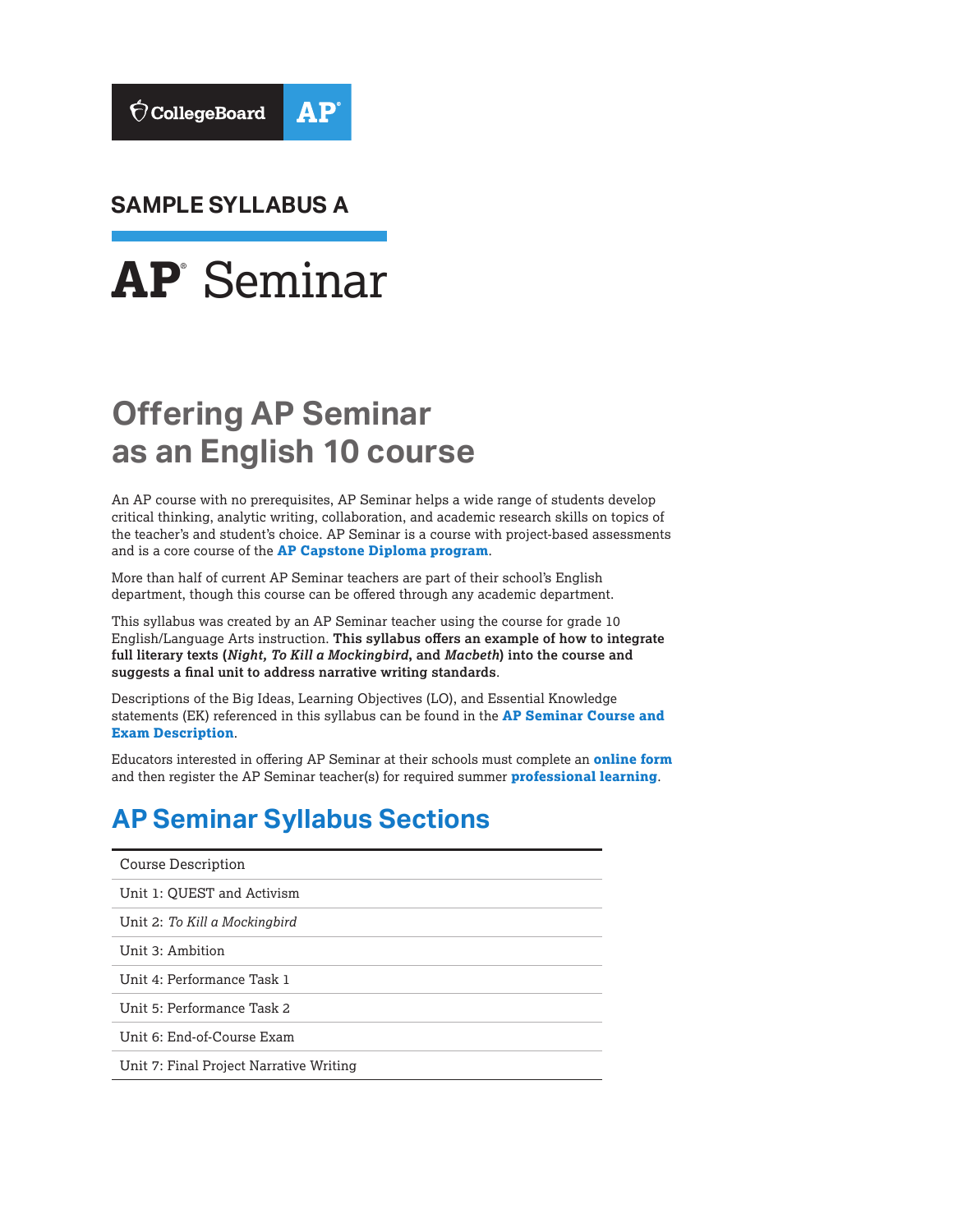

**SAMPLE SYLLABUS A** 



# **Offering AP Seminar as an English 10 course**

An AP course with no prerequisites, AP Seminar helps a wide range of students develop critical thinking, analytic writing, collaboration, and academic research skills on topics of the teacher's and student's choice. AP Seminar is a course with project-based assessments and is a core course of the **[AP Capstone Diploma program](https://collegeboard.org/apcapstone)**.

More than half of current AP Seminar teachers are part of their school's English department, though this course can be offered through any academic department.

This syllabus was created by an AP Seminar teacher using the course for grade 10 English/Language Arts instruction. **This syllabus offers an example of how to integrate full literary texts (***Night, To Kill a Mockingbird***, and** *Macbeth***) into the course and suggests a final unit to address narrative writing standards**.

Descriptions of the Big Ideas, Learning Objectives (LO), and Essential Knowledge statements (EK) referenced in this syllabus can be found in the **[AP Seminar Course and](https://apcentral.collegeboard.org/pdf/ap-seminar-course-and-exam-description.pdf?course=ap-seminar)  [Exam Description](https://apcentral.collegeboard.org/pdf/ap-seminar-course-and-exam-description.pdf?course=ap-seminar)**.

Educators interested in offering AP Seminar at their schools must complete an **[online form](https://collegeboard.force.com/APCapstone/s/)**  and then register the AP Seminar teacher(s) for required summer **[professional learning](https://apcentral.collegeboard.org/courses/ap-capstone/professional-learning)**.

## **AP Seminar Syllabus Sections**

| Course Description                      |
|-----------------------------------------|
| Unit 1: QUEST and Activism              |
| Unit 2: To Kill a Mockingbird           |
| Unit 3: Ambition                        |
| Unit 4: Performance Task 1              |
| Unit 5: Performance Task 2              |
| Unit 6: End-of-Course Exam              |
| Unit 7: Final Project Narrative Writing |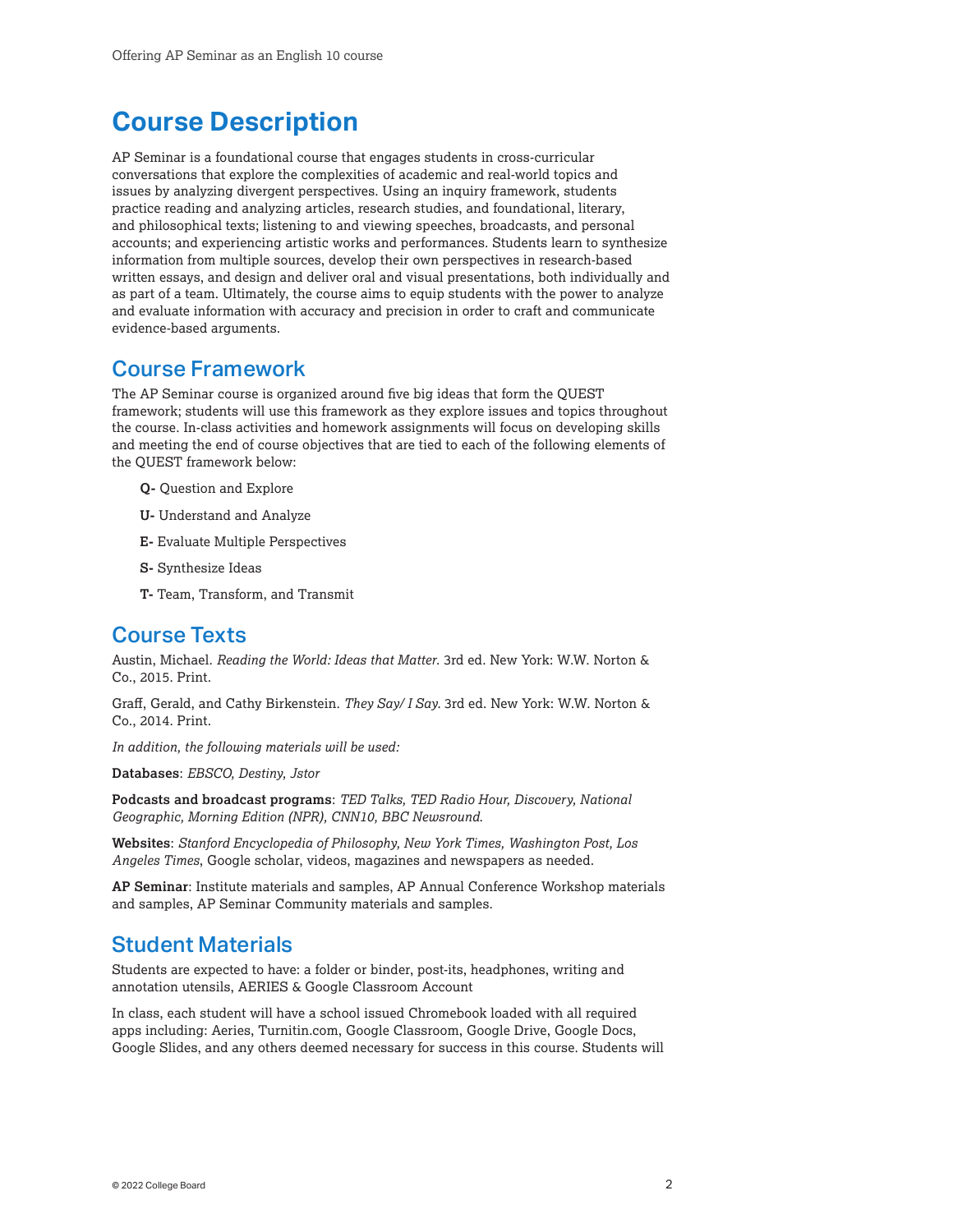## <span id="page-1-0"></span>**Course Description**

AP Seminar is a foundational course that engages students in cross-curricular conversations that explore the complexities of academic and real-world topics and issues by analyzing divergent perspectives. Using an inquiry framework, students practice reading and analyzing articles, research studies, and foundational, literary, and philosophical texts; listening to and viewing speeches, broadcasts, and personal accounts; and experiencing artistic works and performances. Students learn to synthesize information from multiple sources, develop their own perspectives in research-based written essays, and design and deliver oral and visual presentations, both individually and as part of a team. Ultimately, the course aims to equip students with the power to analyze and evaluate information with accuracy and precision in order to craft and communicate evidence-based arguments.

### Course Framework

The AP Seminar course is organized around five big ideas that form the QUEST framework; students will use this framework as they explore issues and topics throughout the course. In-class activities and homework assignments will focus on developing skills and meeting the end of course objectives that are tied to each of the following elements of the QUEST framework below:

- **Q-** Question and Explore
- **U-** Understand and Analyze
- **E-** Evaluate Multiple Perspectives
- **S-** Synthesize Ideas
- **T-** Team, Transform, and Transmit

### Course Texts

Austin, Michael. *Reading the World: Ideas that Matter*. 3rd ed. New York: W.W. Norton & Co., 2015. Print.

Graff, Gerald, and Cathy Birkenstein. *They Say/ I Say.* 3rd ed. New York: W.W. Norton & Co., 2014. Print.

*In addition, the following materials will be used:* 

**Databases**: *EBSCO, Destiny, Jstor* 

**Podcasts and broadcast programs**: *TED Talks, TED Radio Hour, Discovery, National Geographic, Morning Edition (NPR), CNN10, BBC Newsround*.

**Websites**: *Stanford Encyclopedia of Philosophy, New York Times, Washington Post, Los Angeles Times*, Google scholar, videos, magazines and newspapers as needed.

**AP Seminar**: Institute materials and samples, AP Annual Conference Workshop materials and samples, AP Seminar Community materials and samples.

### Student Materials

Students are expected to have: a folder or binder, post-its, headphones, writing and annotation utensils, AERIES & Google Classroom Account

In class, each student will have a school issued Chromebook loaded with all required apps including: Aeries, [Turnitin.com](https://Turnitin.com), Google Classroom, Google Drive, Google Docs, Google Slides, and any others deemed necessary for success in this course. Students will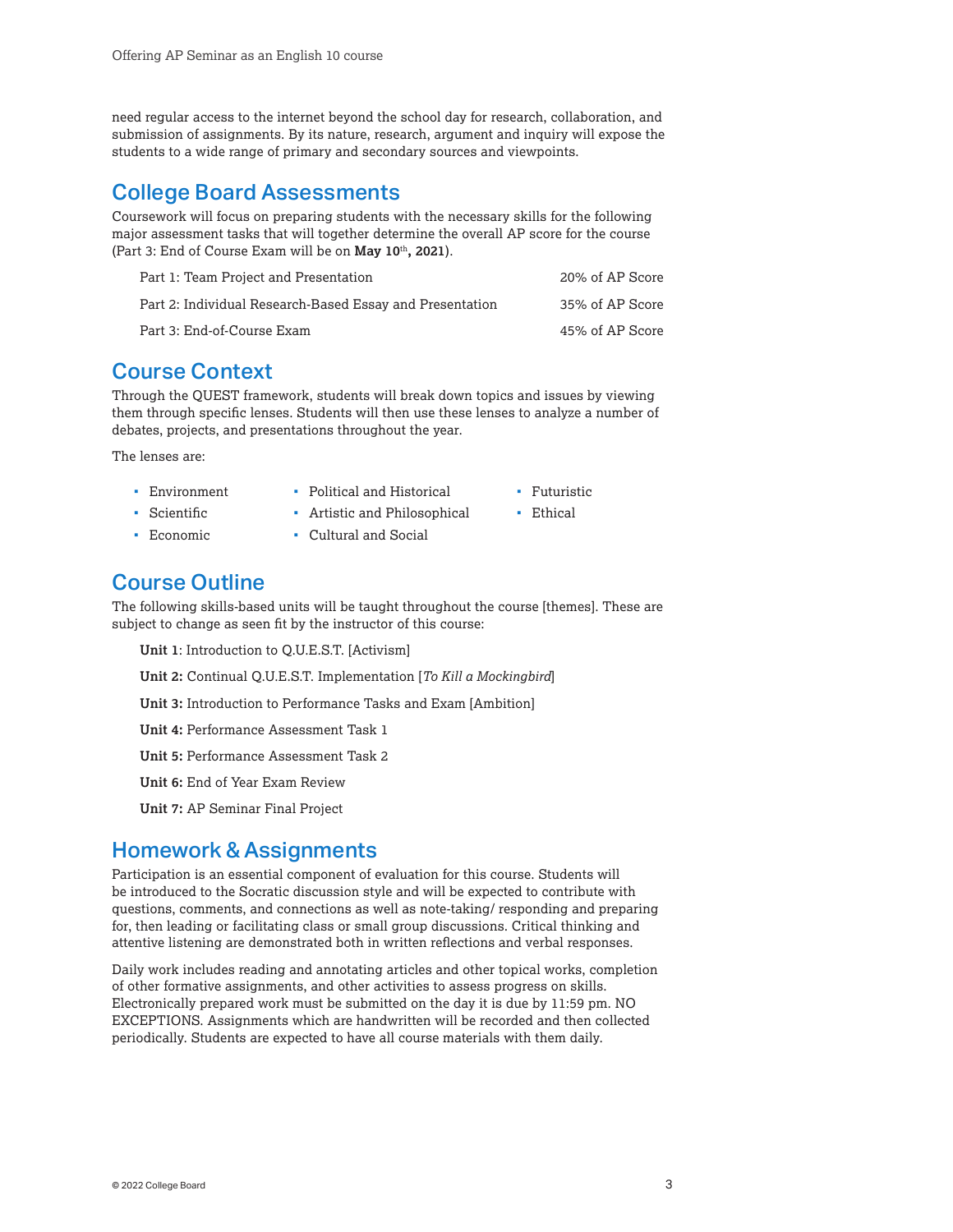need regular access to the internet beyond the school day for research, collaboration, and submission of assignments. By its nature, research, argument and inquiry will expose the students to a wide range of primary and secondary sources and viewpoints.

### College Board Assessments

Coursework will focus on preparing students with the necessary skills for the following major assessment tasks that will together determine the overall AP score for the course (Part 3: End of Course Exam will be on **May 10**th**, 2021**).

| Part 1: Team Proiect and Presentation                    | 20% of AP Score |
|----------------------------------------------------------|-----------------|
| Part 2: Individual Research-Based Essay and Presentation | 35% of AP Score |
| Part 3: End-of-Course Exam                               | 45% of AP Score |

### Course Context

Through the QUEST framework, students will break down topics and issues by viewing them through specific lenses. Students will then use these lenses to analyze a number of debates, projects, and presentations throughout the year.

> **Futuristic** • Ethical

The lenses are:

- Environment
- Political and Historical Artistic and Philosophical
- Scientific Economic
- 
- Cultural and Social
- Course Outline

The following skills-based units will be taught throughout the course [themes]. These are subject to change as seen fit by the instructor of this course:

**Unit 1**: Introduction to Q.U.E.S.T. [Activism] **Unit 2:** Continual Q.U.E.S.T. Implementation [*To Kill a Mockingbird*] **Unit 3:** Introduction to Performance Tasks and Exam [Ambition] **Unit 4:** Performance Assessment Task 1 **Unit 5:** Performance Assessment Task 2

**Unit 6:** End of Year Exam Review

**Unit 7:** AP Seminar Final Project

### Homework & Assignments

Participation is an essential component of evaluation for this course. Students will be introduced to the Socratic discussion style and will be expected to contribute with questions, comments, and connections as well as note-taking/ responding and preparing for, then leading or facilitating class or small group discussions. Critical thinking and attentive listening are demonstrated both in written reflections and verbal responses.

Daily work includes reading and annotating articles and other topical works, completion of other formative assignments, and other activities to assess progress on skills. Electronically prepared work must be submitted on the day it is due by 11:59 pm. NO EXCEPTIONS. Assignments which are handwritten will be recorded and then collected periodically. Students are expected to have all course materials with them daily.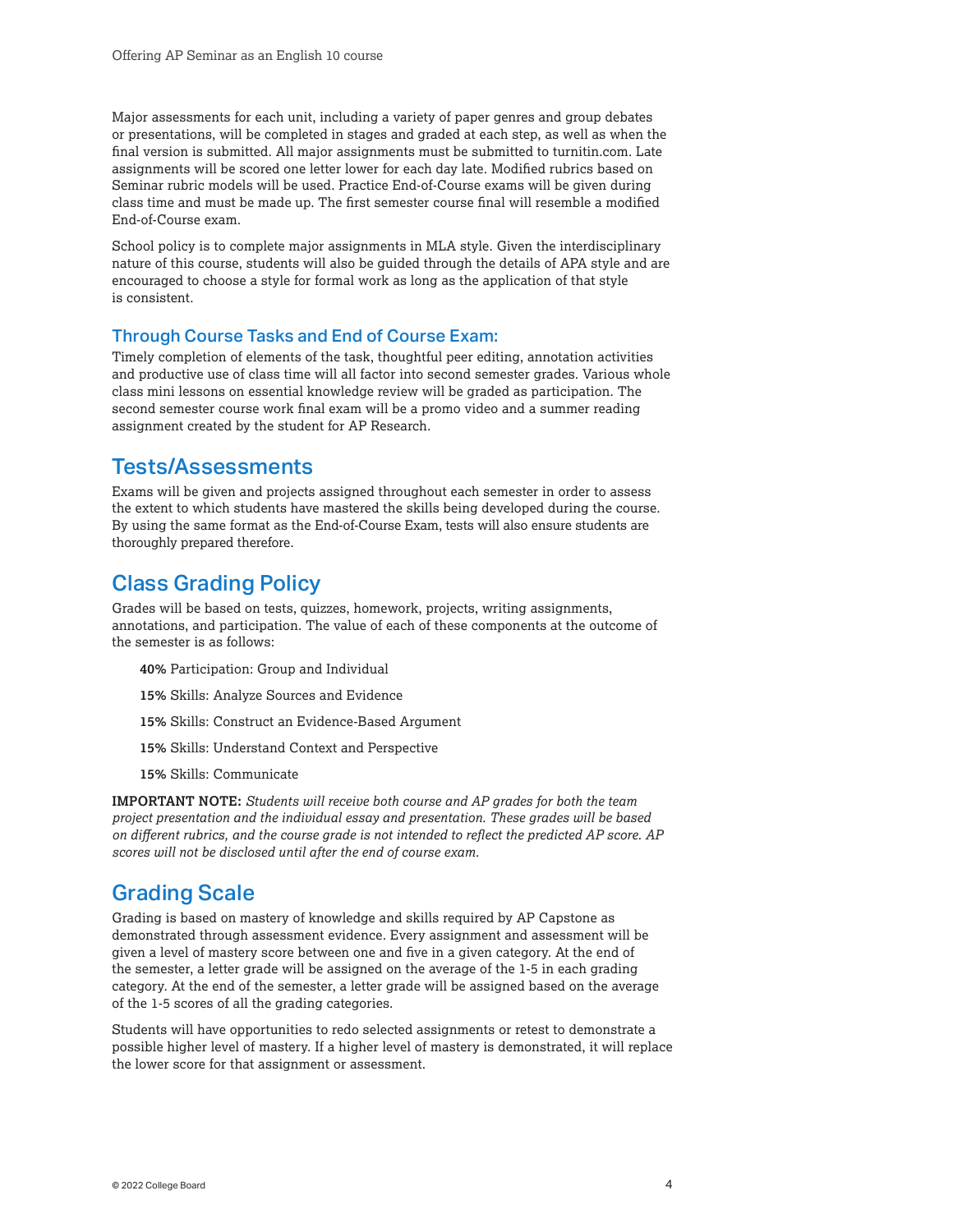Major assessments for each unit, including a variety of paper genres and group debates or presentations, will be completed in stages and graded at each step, as well as when the final version is submitted. All major assignments must be submitted to [turnitin.com.](https://turnitin.com) Late assignments will be scored one letter lower for each day late. Modified rubrics based on Seminar rubric models will be used. Practice End-of-Course exams will be given during class time and must be made up. The first semester course final will resemble a modified End-of-Course exam.

School policy is to complete major assignments in MLA style. Given the interdisciplinary nature of this course, students will also be guided through the details of APA style and are encouraged to choose a style for formal work as long as the application of that style is consistent.

### Through Course Tasks and End of Course Exam:

Timely completion of elements of the task, thoughtful peer editing, annotation activities and productive use of class time will all factor into second semester grades. Various whole class mini lessons on essential knowledge review will be graded as participation. The second semester course work final exam will be a promo video and a summer reading assignment created by the student for AP Research.

### Tests/Assessments

 By using the same format as the End-of-Course Exam, tests will also ensure students are Exams will be given and projects assigned throughout each semester in order to assess the extent to which students have mastered the skills being developed during the course. thoroughly prepared therefore.

### Class Grading Policy

Grades will be based on tests, quizzes, homework, projects, writing assignments, annotations, and participation. The value of each of these components at the outcome of the semester is as follows:

- **40%** Participation: Group and Individual
- **15%** Skills: Analyze Sources and Evidence
- **15%** Skills: Construct an Evidence-Based Argument
- **15%** Skills: Understand Context and Perspective
- **15%** Skills: Communicate

**IMPORTANT NOTE:** *Students will receive both course and AP grades for both the team project presentation and the individual essay and presentation. These grades will be based on different rubrics, and the course grade is not intended to reflect the predicted AP score. AP scores will not be disclosed until after the end of course exam.* 

### Grading Scale

Grading is based on mastery of knowledge and skills required by AP Capstone as demonstrated through assessment evidence. Every assignment and assessment will be given a level of mastery score between one and five in a given category. At the end of the semester, a letter grade will be assigned on the average of the 1-5 in each grading category. At the end of the semester, a letter grade will be assigned based on the average of the 1-5 scores of all the grading categories.

Students will have opportunities to redo selected assignments or retest to demonstrate a possible higher level of mastery. If a higher level of mastery is demonstrated, it will replace the lower score for that assignment or assessment.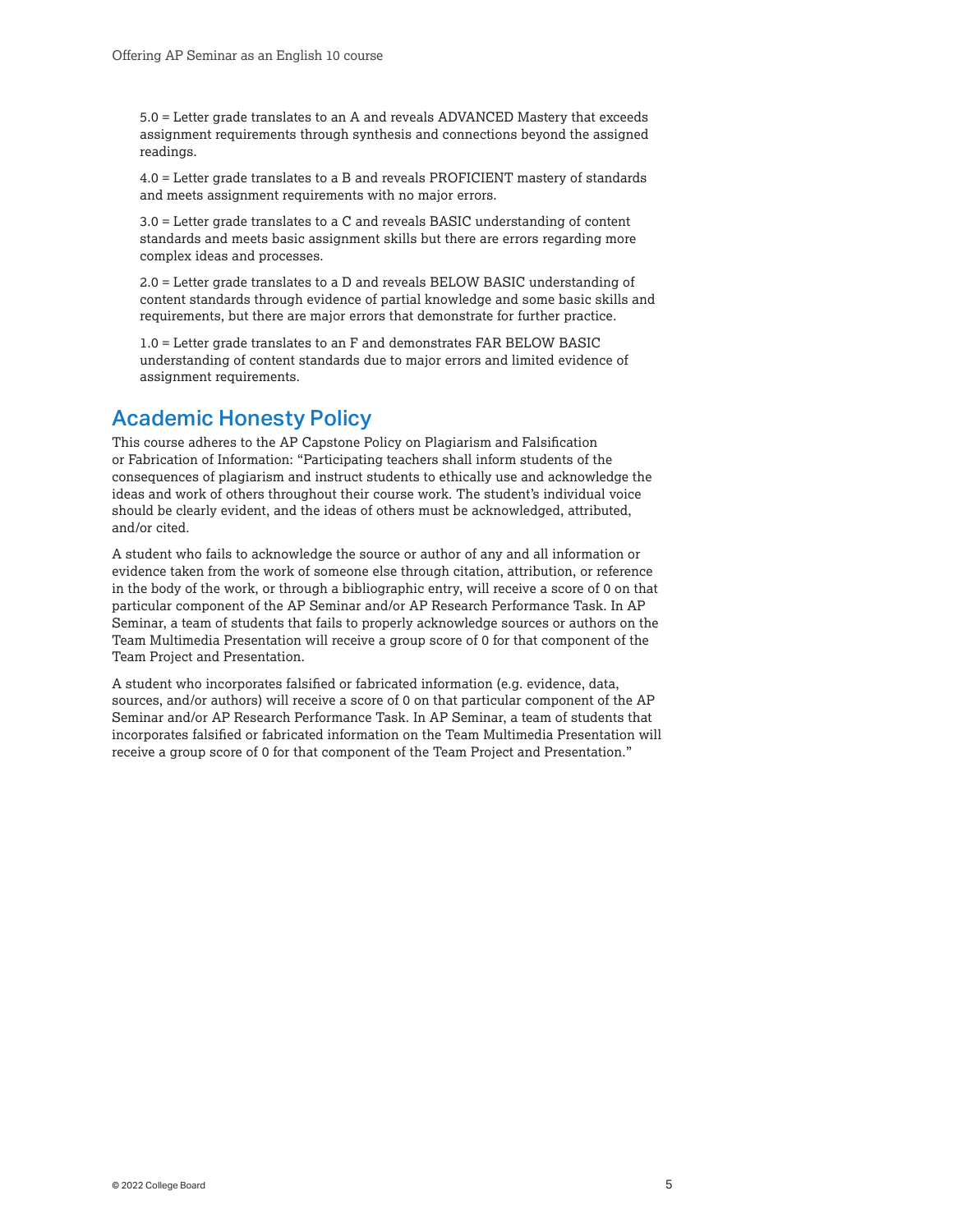5.0 = Letter grade translates to an A and reveals ADVANCED Mastery that exceeds assignment requirements through synthesis and connections beyond the assigned readings.

4.0 = Letter grade translates to a B and reveals PROFICIENT mastery of standards and meets assignment requirements with no major errors.

3.0 = Letter grade translates to a C and reveals BASIC understanding of content standards and meets basic assignment skills but there are errors regarding more complex ideas and processes.

2.0 = Letter grade translates to a D and reveals BELOW BASIC understanding of content standards through evidence of partial knowledge and some basic skills and requirements, but there are major errors that demonstrate for further practice.

1.0 = Letter grade translates to an F and demonstrates FAR BELOW BASIC understanding of content standards due to major errors and limited evidence of assignment requirements.

## Academic Honesty Policy

This course adheres to the AP Capstone Policy on Plagiarism and Falsification or Fabrication of Information: "Participating teachers shall inform students of the consequences of plagiarism and instruct students to ethically use and acknowledge the ideas and work of others throughout their course work. The student's individual voice should be clearly evident, and the ideas of others must be acknowledged, attributed, and/or cited.

A student who fails to acknowledge the source or author of any and all information or evidence taken from the work of someone else through citation, attribution, or reference in the body of the work, or through a bibliographic entry, will receive a score of 0 on that particular component of the AP Seminar and/or AP Research Performance Task. In AP Seminar, a team of students that fails to properly acknowledge sources or authors on the Team Multimedia Presentation will receive a group score of 0 for that component of the Team Project and Presentation.

A student who incorporates falsified or fabricated information (e.g. evidence, data, sources, and/or authors) will receive a score of 0 on that particular component of the AP Seminar and/or AP Research Performance Task. In AP Seminar, a team of students that incorporates falsified or fabricated information on the Team Multimedia Presentation will receive a group score of 0 for that component of the Team Project and Presentation."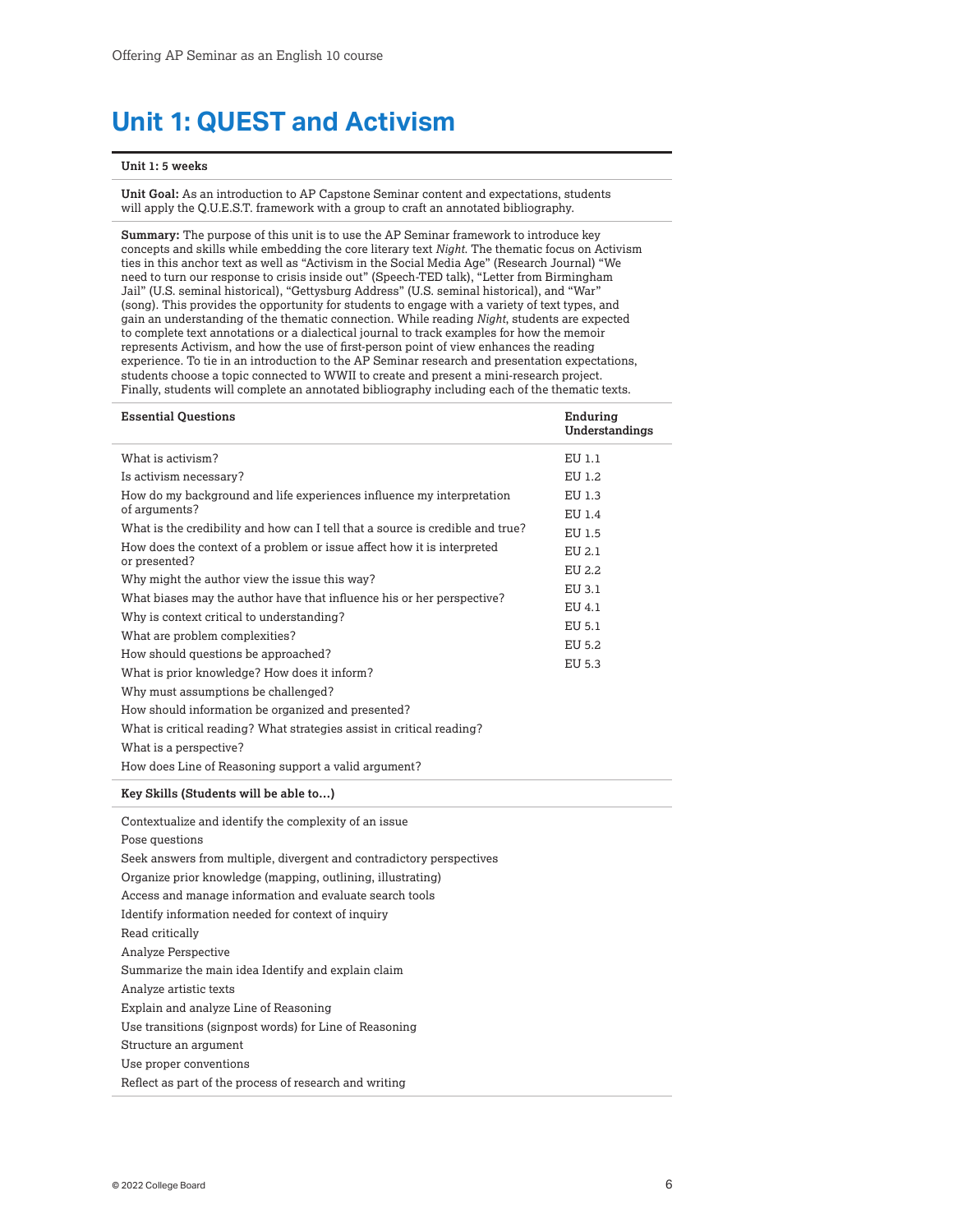## <span id="page-5-0"></span>**Unit 1: QUEST and Activism**

#### **Unit 1: 5 weeks**

**Unit Goal:** As an introduction to AP Capstone Seminar content and expectations, students will apply the Q.U.E.S.T. framework with a group to craft an annotated bibliography.

**Summary:** The purpose of this unit is to use the AP Seminar framework to introduce key concepts and skills while embedding the core literary text *Night*. The thematic focus on Activism ties in this anchor text as well as "Activism in the Social Media Age" (Research Journal) "We need to turn our response to crisis inside out" (Speech-TED talk), "Letter from Birmingham Jail" (U.S. seminal historical), "Gettysburg Address" (U.S. seminal historical), and "War" (song). This provides the opportunity for students to engage with a variety of text types, and gain an understanding of the thematic connection. While reading *Night*, students are expected to complete text annotations or a dialectical journal to track examples for how the memoir represents Activism, and how the use of first-person point of view enhances the reading experience. To tie in an introduction to the AP Seminar research and presentation expectations, students choose a topic connected to WWII to create and present a mini-research project. Finally, students will complete an annotated bibliography including each of the thematic texts.

| <b>Essential Questions</b>                                                               | Enduring<br>Understandings |
|------------------------------------------------------------------------------------------|----------------------------|
| What is activism?                                                                        | EU 1.1                     |
| Is activism necessary?                                                                   | EU 1.2                     |
| How do my background and life experiences influence my interpretation<br>of arguments?   | EU 1.3<br>EU 1.4           |
| What is the credibility and how can I tell that a source is credible and true?           | EU 1.5                     |
| How does the context of a problem or issue affect how it is interpreted<br>or presented? | EU 2.1                     |
| Why might the author view the issue this way?                                            | EU 2.2                     |
| What biases may the author have that influence his or her perspective?                   | EU 3.1                     |
| Why is context critical to understanding?                                                | EU 4.1                     |
| What are problem complexities?                                                           | EU 5.1                     |
| How should questions be approached?                                                      | EU 5.2                     |
| What is prior knowledge? How does it inform?                                             | EU 5.3                     |
| Why must assumptions be challenged?                                                      |                            |
| How should information be organized and presented?                                       |                            |
| What is critical reading? What strategies assist in critical reading?                    |                            |
| What is a perspective?                                                                   |                            |
| How does Line of Reasoning support a valid argument?                                     |                            |
| Key Skills (Students will be able to)                                                    |                            |
| Contextualize and identify the complexity of an issue                                    |                            |
| Pose questions                                                                           |                            |
| Seek answers from multiple, divergent and contradictory perspectives                     |                            |
| Organize prior knowledge (mapping, outlining, illustrating)                              |                            |

Access and manage information and evaluate search tools

Identify information needed for context of inquiry

Read critically

Analyze Perspective

Summarize the main idea Identify and explain claim

Analyze artistic texts

Explain and analyze Line of Reasoning

Use transitions (signpost words) for Line of Reasoning

Structure an argument

Use proper conventions

Reflect as part of the process of research and writing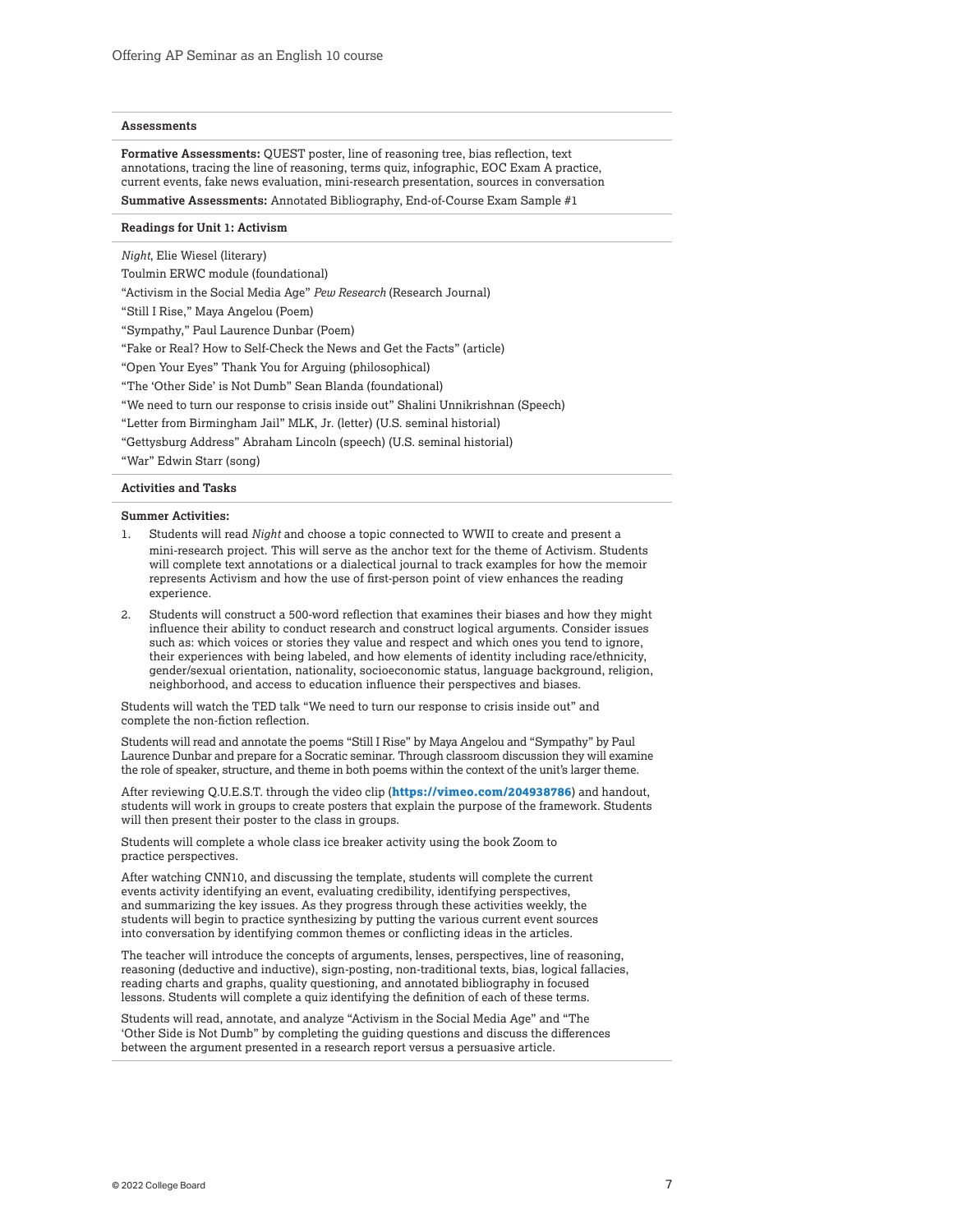#### **Assessments**

**Formative Assessments:** QUEST poster, line of reasoning tree, bias reflection, text annotations, tracing the line of reasoning, terms quiz, infographic, EOC Exam A practice, current events, fake news evaluation, mini-research presentation, sources in conversation **Summative Assessments:** Annotated Bibliography, End-of-Course Exam Sample #1

#### **Readings for Unit 1: Activism**

*Night*, Elie Wiesel (literary)

Toulmin ERWC module (foundational)

"Activism in the Social Media Age" *Pew Research* (Research Journal)

"Still I Rise," Maya Angelou (Poem)

"Sympathy," Paul Laurence Dunbar (Poem)

"Fake or Real? How to Self-Check the News and Get the Facts" (article)

"Open Your Eyes" Thank You for Arguing (philosophical)

"The 'Other Side' is Not Dumb" Sean Blanda (foundational)

"We need to turn our response to crisis inside out" Shalini Unnikrishnan (Speech)

"Letter from Birmingham Jail" MLK, Jr. (letter) (U.S. seminal historial)

"Gettysburg Address" Abraham Lincoln (speech) (U.S. seminal historial)

"War" Edwin Starr (song)

#### **Activities and Tasks**

#### **Summer Activities:**

- 1. Students will read *Night* and choose a topic connected to WWII to create and present a mini-research project. This will serve as the anchor text for the theme of Activism. Students will complete text annotations or a dialectical journal to track examples for how the memoir represents Activism and how the use of first-person point of view enhances the reading experience.
- 2. Students will construct a 500-word reflection that examines their biases and how they might influence their ability to conduct research and construct logical arguments. Consider issues such as: which voices or stories they value and respect and which ones you tend to ignore, their experiences with being labeled, and how elements of identity including race/ethnicity, gender/sexual orientation, nationality, socioeconomic status, language background, religion, neighborhood, and access to education influence their perspectives and biases.

Students will watch the TED talk "We need to turn our response to crisis inside out" and complete the non-fiction reflection.

Students will read and annotate the poems "Still I Rise" by Maya Angelou and "Sympathy" by Paul Laurence Dunbar and prepare for a Socratic seminar. Through classroom discussion they will examine the role of speaker, structure, and theme in both poems within the context of the unit's larger theme.

After reviewing Q.U.E.S.T. through the video clip (**<https://vimeo.com/204938786>**) and handout, students will work in groups to create posters that explain the purpose of the framework. Students will then present their poster to the class in groups.

Students will complete a whole class ice breaker activity using the book Zoom to practice perspectives.

After watching CNN10, and discussing the template, students will complete the current events activity identifying an event, evaluating credibility, identifying perspectives, and summarizing the key issues. As they progress through these activities weekly, the students will begin to practice synthesizing by putting the various current event sources into conversation by identifying common themes or conflicting ideas in the articles.

The teacher will introduce the concepts of arguments, lenses, perspectives, line of reasoning, reasoning (deductive and inductive), sign-posting, non-traditional texts, bias, logical fallacies, reading charts and graphs, quality questioning, and annotated bibliography in focused lessons. Students will complete a quiz identifying the definition of each of these terms.

Students will read, annotate, and analyze "Activism in the Social Media Age" and "The 'Other Side is Not Dumb" by completing the guiding questions and discuss the differences between the argument presented in a research report versus a persuasive article.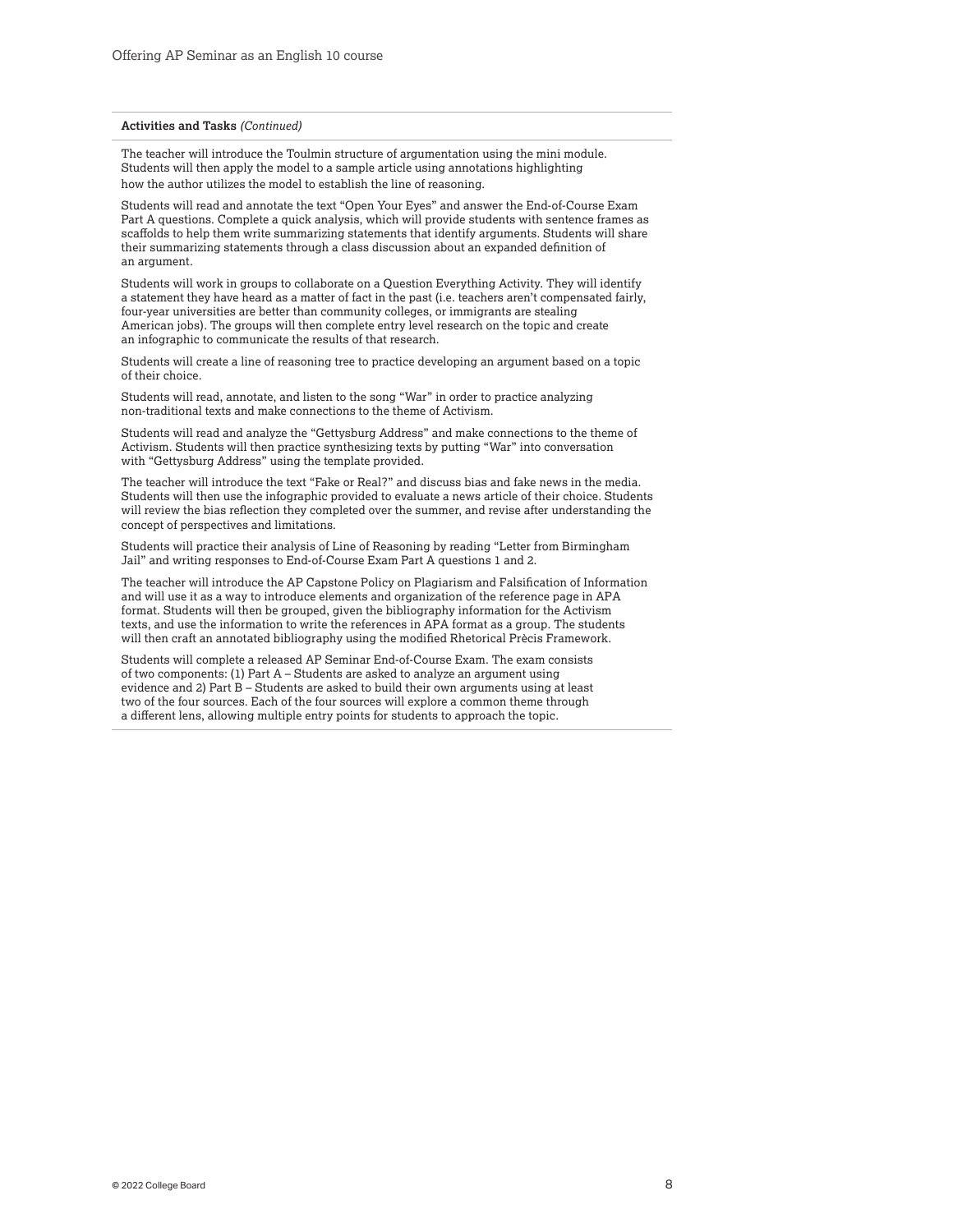#### **Activities and Tasks** *(Continued)*

The teacher will introduce the Toulmin structure of argumentation using the mini module. Students will then apply the model to a sample article using annotations highlighting how the author utilizes the model to establish the line of reasoning.

Students will read and annotate the text "Open Your Eyes" and answer the End-of-Course Exam Part A questions. Complete a quick analysis, which will provide students with sentence frames as scaffolds to help them write summarizing statements that identify arguments. Students will share their summarizing statements through a class discussion about an expanded definition of an argument.

Students will work in groups to collaborate on a Question Everything Activity. They will identify a statement they have heard as a matter of fact in the past (i.e. teachers aren't compensated fairly, four-year universities are better than community colleges, or immigrants are stealing American jobs). The groups will then complete entry level research on the topic and create an infographic to communicate the results of that research.

Students will create a line of reasoning tree to practice developing an argument based on a topic of their choice.

Students will read, annotate, and listen to the song "War" in order to practice analyzing non-traditional texts and make connections to the theme of Activism.

Students will read and analyze the "Gettysburg Address" and make connections to the theme of Activism. Students will then practice synthesizing texts by putting "War" into conversation with "Gettysburg Address" using the template provided.

The teacher will introduce the text "Fake or Real?" and discuss bias and fake news in the media. Students will then use the infographic provided to evaluate a news article of their choice. Students will review the bias reflection they completed over the summer, and revise after understanding the concept of perspectives and limitations.

Students will practice their analysis of Line of Reasoning by reading "Letter from Birmingham Jail" and writing responses to End-of-Course Exam Part A questions 1 and 2.

The teacher will introduce the AP Capstone Policy on Plagiarism and Falsification of Information and will use it as a way to introduce elements and organization of the reference page in APA format. Students will then be grouped, given the bibliography information for the Activism texts, and use the information to write the references in APA format as a group. The students will then craft an annotated bibliography using the modified Rhetorical Prècis Framework.

Students will complete a released AP Seminar End-of-Course Exam. The exam consists of two components: (1) Part A – Students are asked to analyze an argument using evidence and 2) Part B – Students are asked to build their own arguments using at least two of the four sources. Each of the four sources will explore a common theme through a different lens, allowing multiple entry points for students to approach the topic.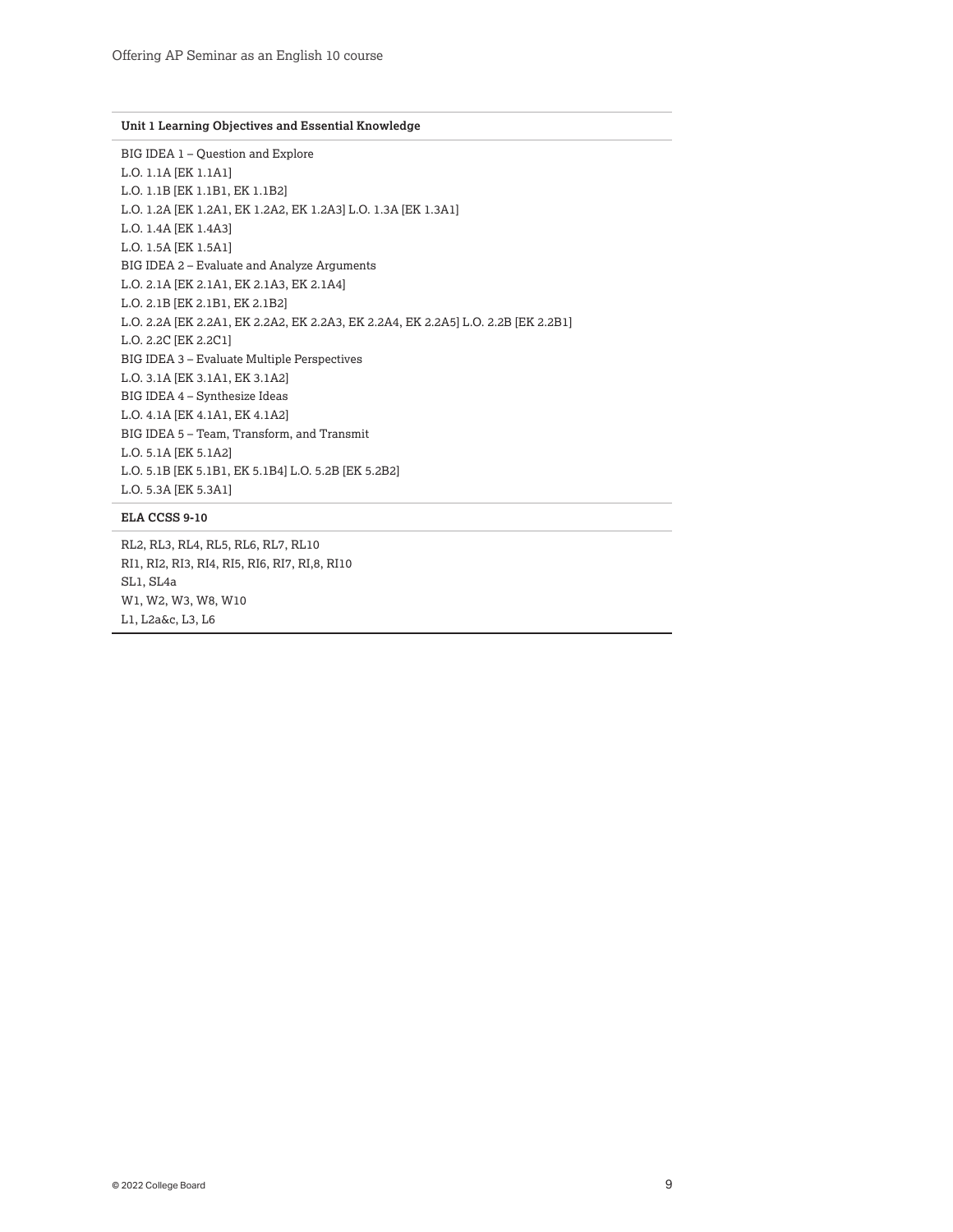#### **Unit 1 Learning Objectives and Essential Knowledge**

BIG IDEA 1 – Question and Explore L.O. 1.1A [EK 1.1A1] L.O. 1.1B [EK 1.1B1, EK 1.1B2] L.O. 1.2A [EK 1.2A1, EK 1.2A2, EK 1.2A3] L.O. 1.3A [EK 1.3A1] L.O. 1.4A [EK 1.4A3] L.O. 1.5A [EK 1.5A1] BIG IDEA 2 – Evaluate and Analyze Arguments L.O. 2.1A [EK 2.1A1, EK 2.1A3, EK 2.1A4] L.O. 2.1B [EK 2.1B1, EK 2.1B2] L.O. 2.2A [EK 2.2A1, EK 2.2A2, EK 2.2A3, EK 2.2A4, EK 2.2A5] L.O. 2.2B [EK 2.2B1] L.O. 2.2C [EK 2.2C1] BIG IDEA 3 – Evaluate Multiple Perspectives L.O. 3.1A [EK 3.1A1, EK 3.1A2] BIG IDEA 4 – Synthesize Ideas L.O. 4.1A [EK 4.1A1, EK 4.1A2] BIG IDEA 5 – Team, Transform, and Transmit L.O. 5.1A [EK 5.1A2] L.O. 5.1B [EK 5.1B1, EK 5.1B4] L.O. 5.2B [EK 5.2B2] L.O. 5.3A [EK 5.3A1]

#### **ELA CCSS 9-10**

RL2, RL3, RL4, RL5, RL6, RL7, RL10 RI1, RI2, RI3, RI4, RI5, RI6, RI7, RI,8, RI10 SL1, SL4a W1, W2, W3, W8, W10 L1, L2a&c, L3, L6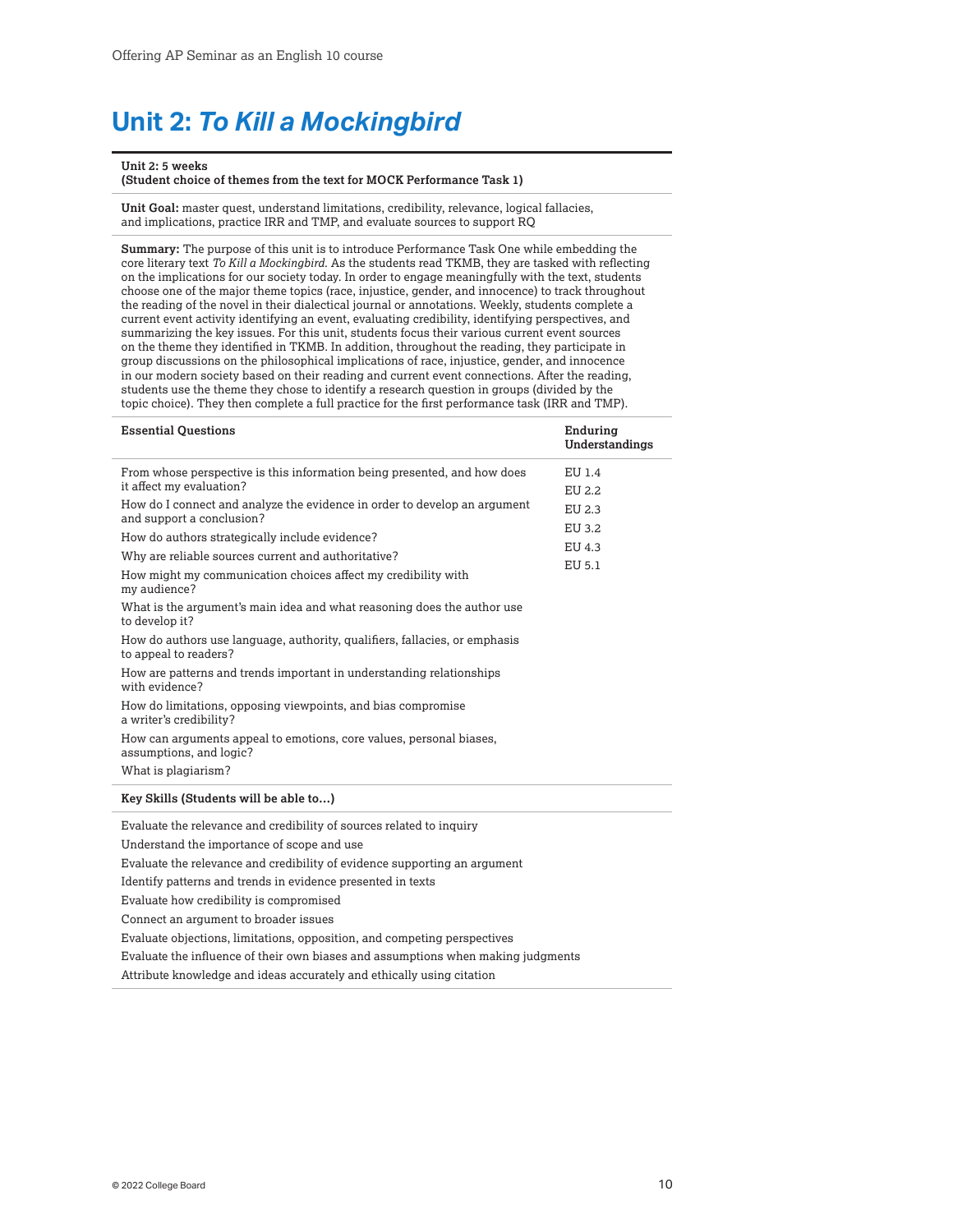## <span id="page-9-0"></span>**Unit 2:** *To Kill a Mockingbird*

#### **Unit 2: 5 weeks**

**(Student choice of themes from the text for MOCK Performance Task 1)**

**Unit Goal:** master quest, understand limitations, credibility, relevance, logical fallacies, and implications, practice IRR and TMP, and evaluate sources to support RQ

**Summary:** The purpose of this unit is to introduce Performance Task One while embedding the core literary text *To Kill a Mockingbird*. As the students read TKMB, they are tasked with reflecting on the implications for our society today. In order to engage meaningfully with the text, students choose one of the major theme topics (race, injustice, gender, and innocence) to track throughout the reading of the novel in their dialectical journal or annotations. Weekly, students complete a current event activity identifying an event, evaluating credibility, identifying perspectives, and summarizing the key issues. For this unit, students focus their various current event sources on the theme they identified in TKMB. In addition, throughout the reading, they participate in group discussions on the philosophical implications of race, injustice, gender, and innocence in our modern society based on their reading and current event connections. After the reading, students use the theme they chose to identify a research question in groups (divided by the topic choice). They then complete a full practice for the first performance task (IRR and TMP).

| <b>Essential Questions</b>                                                                             | Enduring<br>Understandings |
|--------------------------------------------------------------------------------------------------------|----------------------------|
| From whose perspective is this information being presented, and how does                               | EU 1.4                     |
| it affect my evaluation?                                                                               | EU 2.2                     |
| How do I connect and analyze the evidence in order to develop an argument<br>and support a conclusion? | EU 2.3                     |
| How do authors strategically include evidence?                                                         | EU 3.2                     |
|                                                                                                        | EU 4.3                     |
| Why are reliable sources current and authoritative?                                                    | EU 5.1                     |
| How might my communication choices affect my credibility with<br>my audience?                          |                            |
| What is the argument's main idea and what reasoning does the author use<br>to develop it?              |                            |
| How do authors use language, authority, qualifiers, fallacies, or emphasis<br>to appeal to readers?    |                            |
| How are patterns and trends important in understanding relationships<br>with evidence?                 |                            |
| How do limitations, opposing viewpoints, and bias compromise<br>a writer's credibility?                |                            |
| How can arguments appeal to emotions, core values, personal biases,<br>assumptions, and logic?         |                            |
| What is plagiarism?                                                                                    |                            |
| Key Skills (Students will be able to)                                                                  |                            |

Evaluate the relevance and credibility of sources related to inquiry

Understand the importance of scope and use

Evaluate the relevance and credibility of evidence supporting an argument

Identify patterns and trends in evidence presented in texts

Evaluate how credibility is compromised

Connect an argument to broader issues

Evaluate objections, limitations, opposition, and competing perspectives

Evaluate the influence of their own biases and assumptions when making judgments

Attribute knowledge and ideas accurately and ethically using citation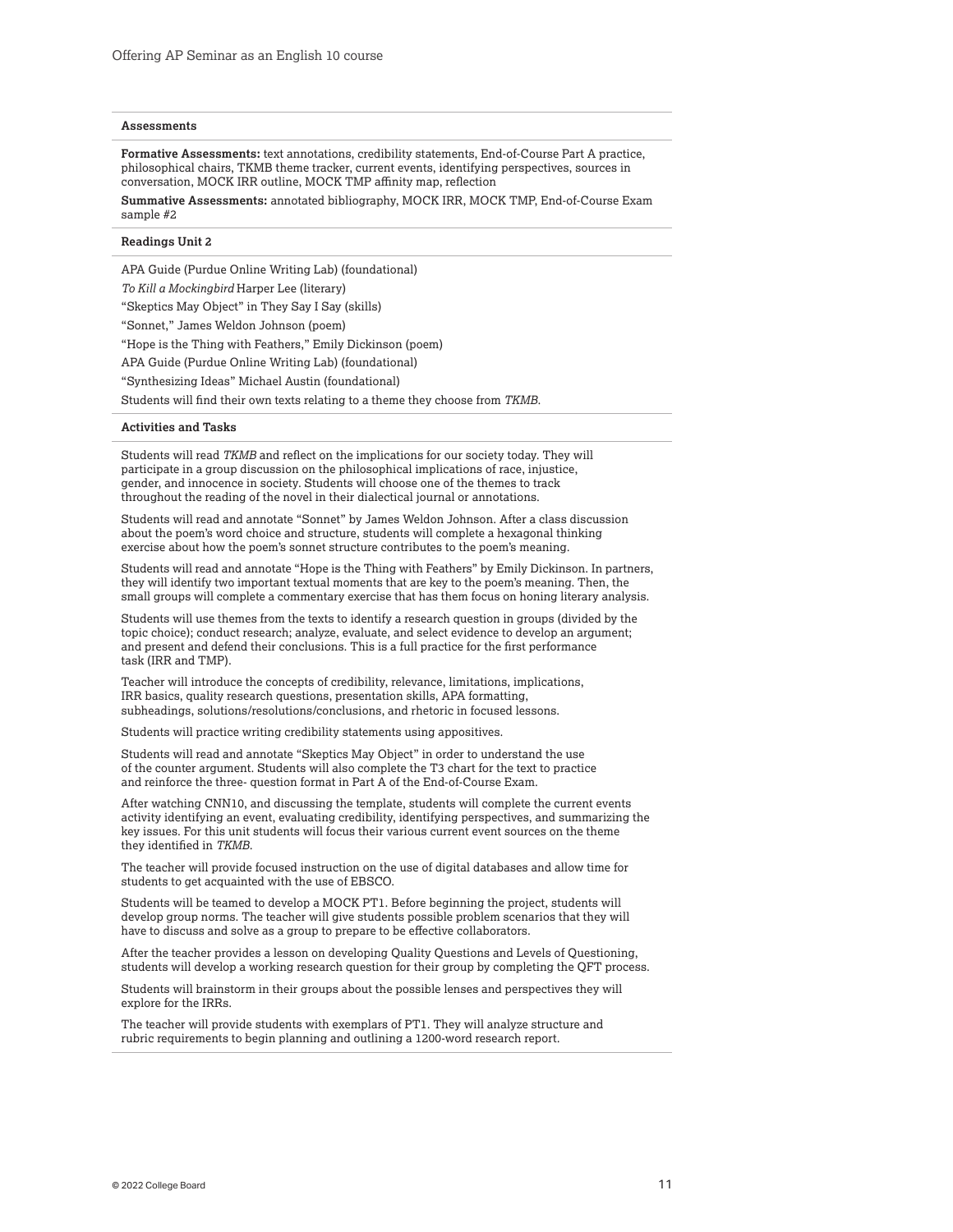#### **Assessments**

**Formative Assessments:** text annotations, credibility statements, End-of-Course Part A practice, philosophical chairs, TKMB theme tracker, current events, identifying perspectives, sources in conversation, MOCK IRR outline, MOCK TMP affinity map, reflection

**Summative Assessments:** annotated bibliography, MOCK IRR, MOCK TMP, End-of-Course Exam sample #2

#### **Readings Unit 2**

APA Guide (Purdue Online Writing Lab) (foundational)

*To Kill a Mockingbird* Harper Lee (literary)

"Skeptics May Object" in They Say I Say (skills)

"Sonnet," James Weldon Johnson (poem)

"Hope is the Thing with Feathers," Emily Dickinson (poem)

APA Guide (Purdue Online Writing Lab) (foundational)

"Synthesizing Ideas" Michael Austin (foundational)

Students will find their own texts relating to a theme they choose from *TKMB*.

#### **Activities and Tasks**

Students will read *TKMB* and reflect on the implications for our society today. They will participate in a group discussion on the philosophical implications of race, injustice, gender, and innocence in society. Students will choose one of the themes to track throughout the reading of the novel in their dialectical journal or annotations.

Students will read and annotate "Sonnet" by James Weldon Johnson. After a class discussion about the poem's word choice and structure, students will complete a hexagonal thinking exercise about how the poem's sonnet structure contributes to the poem's meaning.

Students will read and annotate "Hope is the Thing with Feathers" by Emily Dickinson. In partners, they will identify two important textual moments that are key to the poem's meaning. Then, the small groups will complete a commentary exercise that has them focus on honing literary analysis.

Students will use themes from the texts to identify a research question in groups (divided by the topic choice); conduct research; analyze, evaluate, and select evidence to develop an argument; and present and defend their conclusions. This is a full practice for the first performance task (IRR and TMP).

Teacher will introduce the concepts of credibility, relevance, limitations, implications, IRR basics, quality research questions, presentation skills, APA formatting, subheadings, solutions/resolutions/conclusions, and rhetoric in focused lessons.

Students will practice writing credibility statements using appositives.

Students will read and annotate "Skeptics May Object" in order to understand the use of the counter argument. Students will also complete the T3 chart for the text to practice and reinforce the three- question format in Part A of the End-of-Course Exam.

After watching CNN10, and discussing the template, students will complete the current events activity identifying an event, evaluating credibility, identifying perspectives, and summarizing the key issues. For this unit students will focus their various current event sources on the theme they identified in *TKMB*.

The teacher will provide focused instruction on the use of digital databases and allow time for students to get acquainted with the use of EBSCO.

Students will be teamed to develop a MOCK PT1. Before beginning the project, students will develop group norms. The teacher will give students possible problem scenarios that they will have to discuss and solve as a group to prepare to be effective collaborators.

After the teacher provides a lesson on developing Quality Questions and Levels of Questioning, students will develop a working research question for their group by completing the QFT process.

Students will brainstorm in their groups about the possible lenses and perspectives they will explore for the IRRs.

The teacher will provide students with exemplars of PT1. They will analyze structure and rubric requirements to begin planning and outlining a 1200-word research report.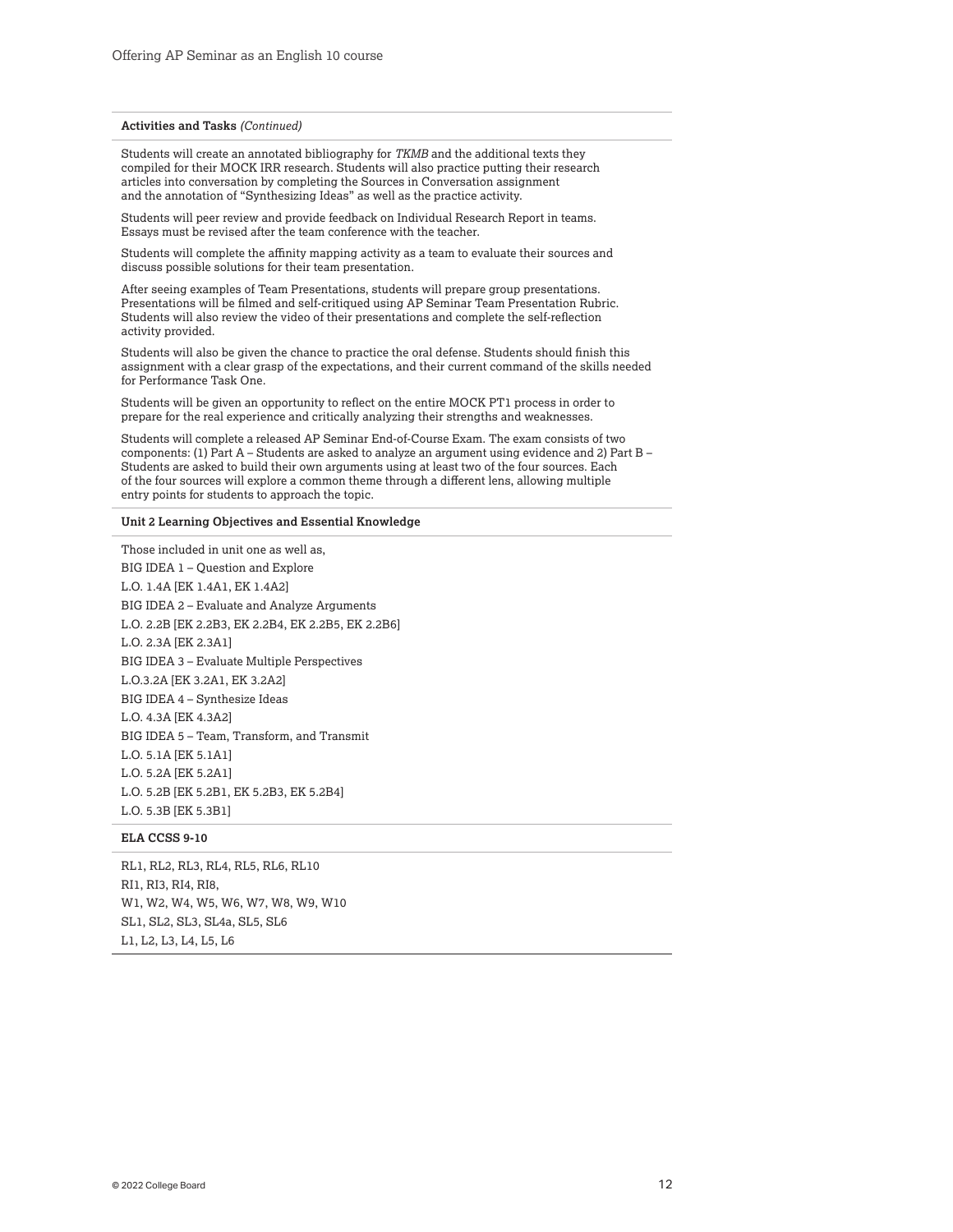#### **Activities and Tasks** *(Continued)*

Students will create an annotated bibliography for *TKMB* and the additional texts they compiled for their MOCK IRR research. Students will also practice putting their research articles into conversation by completing the Sources in Conversation assignment and the annotation of "Synthesizing Ideas" as well as the practice activity.

Students will peer review and provide feedback on Individual Research Report in teams. Essays must be revised after the team conference with the teacher.

Students will complete the affinity mapping activity as a team to evaluate their sources and discuss possible solutions for their team presentation.

After seeing examples of Team Presentations, students will prepare group presentations. Presentations will be filmed and self-critiqued using AP Seminar Team Presentation Rubric. Students will also review the video of their presentations and complete the self-reflection activity provided.

Students will also be given the chance to practice the oral defense. Students should finish this assignment with a clear grasp of the expectations, and their current command of the skills needed for Performance Task One.

Students will be given an opportunity to reflect on the entire MOCK PT1 process in order to prepare for the real experience and critically analyzing their strengths and weaknesses.

Students will complete a released AP Seminar End-of-Course Exam. The exam consists of two components: (1) Part A – Students are asked to analyze an argument using evidence and 2) Part B – Students are asked to build their own arguments using at least two of the four sources. Each of the four sources will explore a common theme through a different lens, allowing multiple entry points for students to approach the topic.

#### **Unit 2 Learning Objectives and Essential Knowledge**

Those included in unit one as well as, BIG IDEA 1 – Question and Explore L.O. 1.4A [EK 1.4A1, EK 1.4A2] BIG IDEA 2 – Evaluate and Analyze Arguments L.O. 2.2B [EK 2.2B3, EK 2.2B4, EK 2.2B5, EK 2.2B6] L.O. 2.3A [EK 2.3A1] BIG IDEA 3 – Evaluate Multiple Perspectives L.O.3.2A [EK 3.2A1, EK 3.2A2] BIG IDEA 4 – Synthesize Ideas L.O. 4.3A [EK 4.3A2] BIG IDEA 5 – Team, Transform, and Transmit L.O. 5.1A [EK 5.1A1] L.O. 5.2A [EK 5.2A1] L.O. 5.2B [EK 5.2B1, EK 5.2B3, EK 5.2B4] L.O. 5.3B [EK 5.3B1]

#### **ELA CCSS 9-10**

RL1, RL2, RL3, RL4, RL5, RL6, RL10 RI1, RI3, RI4, RI8, W1, W2, W4, W5, W6, W7, W8, W9, W10 SL1, SL2, SL3, SL4a, SL5, SL6 L1, L2, L3, L4, L5, L6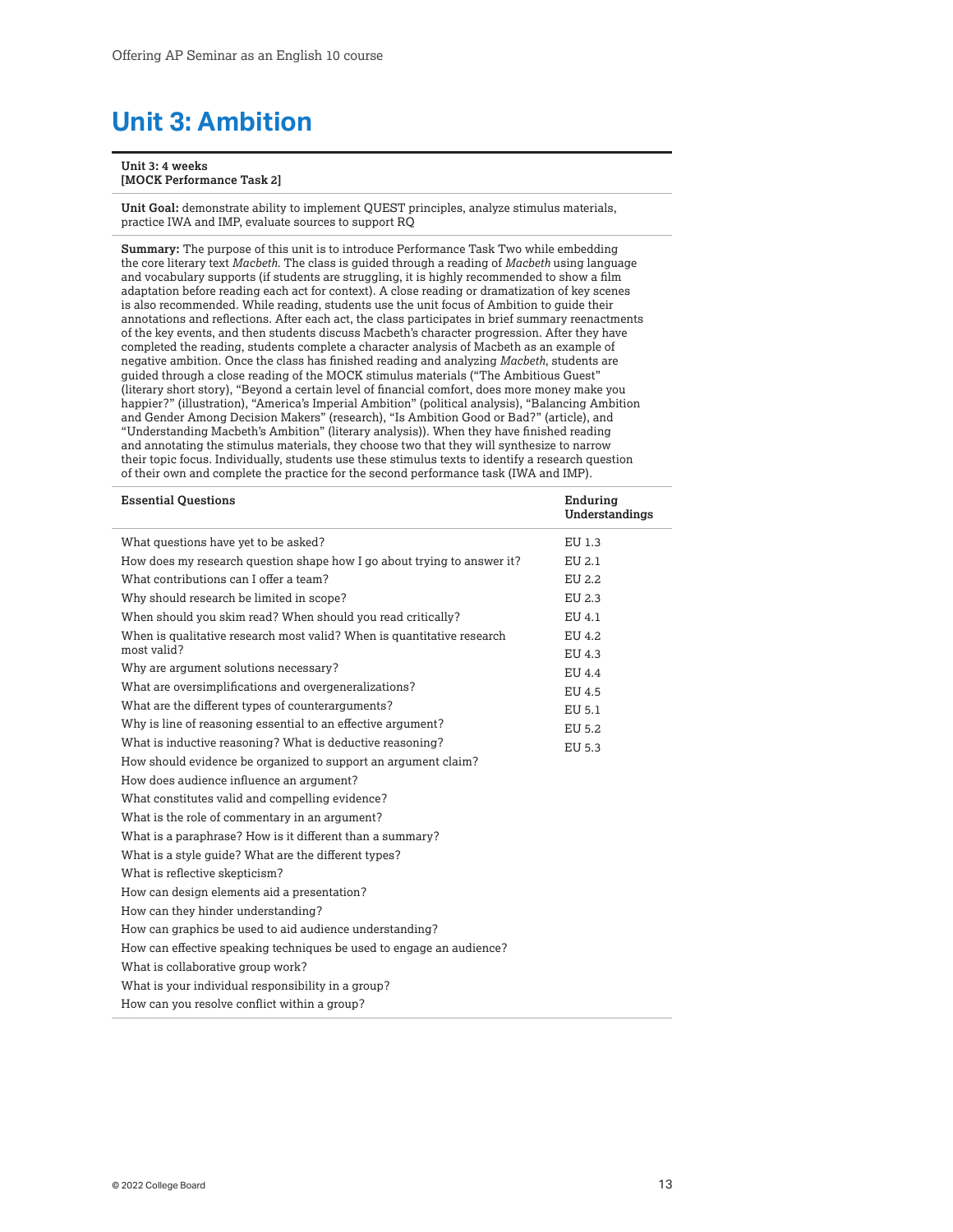## <span id="page-12-0"></span>**Unit 3: Ambition**

#### **Unit 3: 4 weeks [MOCK Performance Task 2]**

**Unit Goal:** demonstrate ability to implement QUEST principles, analyze stimulus materials, practice IWA and IMP, evaluate sources to support RQ

**Summary:** The purpose of this unit is to introduce Performance Task Two while embedding the core literary text *Macbeth*. The class is guided through a reading of *Macbeth* using language and vocabulary supports (if students are struggling, it is highly recommended to show a film adaptation before reading each act for context). A close reading or dramatization of key scenes is also recommended. While reading, students use the unit focus of Ambition to guide their annotations and reflections. After each act, the class participates in brief summary reenactments of the key events, and then students discuss Macbeth's character progression. After they have completed the reading, students complete a character analysis of Macbeth as an example of negative ambition. Once the class has finished reading and analyzing *Macbeth*, students are guided through a close reading of the MOCK stimulus materials ("The Ambitious Guest" (literary short story), "Beyond a certain level of financial comfort, does more money make you happier?" (illustration), "America's Imperial Ambition" (political analysis), "Balancing Ambition and Gender Among Decision Makers" (research), "Is Ambition Good or Bad?" (article), and "Understanding Macbeth's Ambition" (literary analysis)). When they have finished reading and annotating the stimulus materials, they choose two that they will synthesize to narrow their topic focus. Individually, students use these stimulus texts to identify a research question of their own and complete the practice for the second performance task (IWA and IMP).

| <b>Essential Questions</b>                                                            | Enduring<br>Understandings |
|---------------------------------------------------------------------------------------|----------------------------|
| What questions have yet to be asked?                                                  | EU 1.3                     |
| How does my research question shape how I go about trying to answer it?               | EU 2.1                     |
| What contributions can I offer a team?                                                | EU 2.2                     |
| Why should research be limited in scope?                                              | EU 2.3                     |
| When should you skim read? When should you read critically?                           | EU 4.1                     |
| When is qualitative research most valid? When is quantitative research<br>most valid? | EU 4.2                     |
| Why are argument solutions necessary?                                                 | EU 4.3                     |
|                                                                                       | EU 4.4                     |
| What are oversimplifications and overgeneralizations?                                 | EU 4.5                     |
| What are the different types of counterarguments?                                     | EU 5.1                     |
| Why is line of reasoning essential to an effective argument?                          | EU 5.2                     |
| What is inductive reasoning? What is deductive reasoning?                             | EU 5.3                     |
| How should evidence be organized to support an argument claim?                        |                            |
| How does audience influence an argument?                                              |                            |
| What constitutes valid and compelling evidence?                                       |                            |
| What is the role of commentary in an argument?                                        |                            |
| What is a paraphrase? How is it different than a summary?                             |                            |
| What is a style guide? What are the different types?                                  |                            |
| What is reflective skepticism?                                                        |                            |
| How can design elements aid a presentation?                                           |                            |
| How can they hinder understanding?                                                    |                            |
| How can graphics be used to aid audience understanding?                               |                            |
| How can effective speaking techniques be used to engage an audience?                  |                            |
| What is collaborative group work?                                                     |                            |
| What is your individual responsibility in a group?                                    |                            |
| How can you resolve conflict within a group?                                          |                            |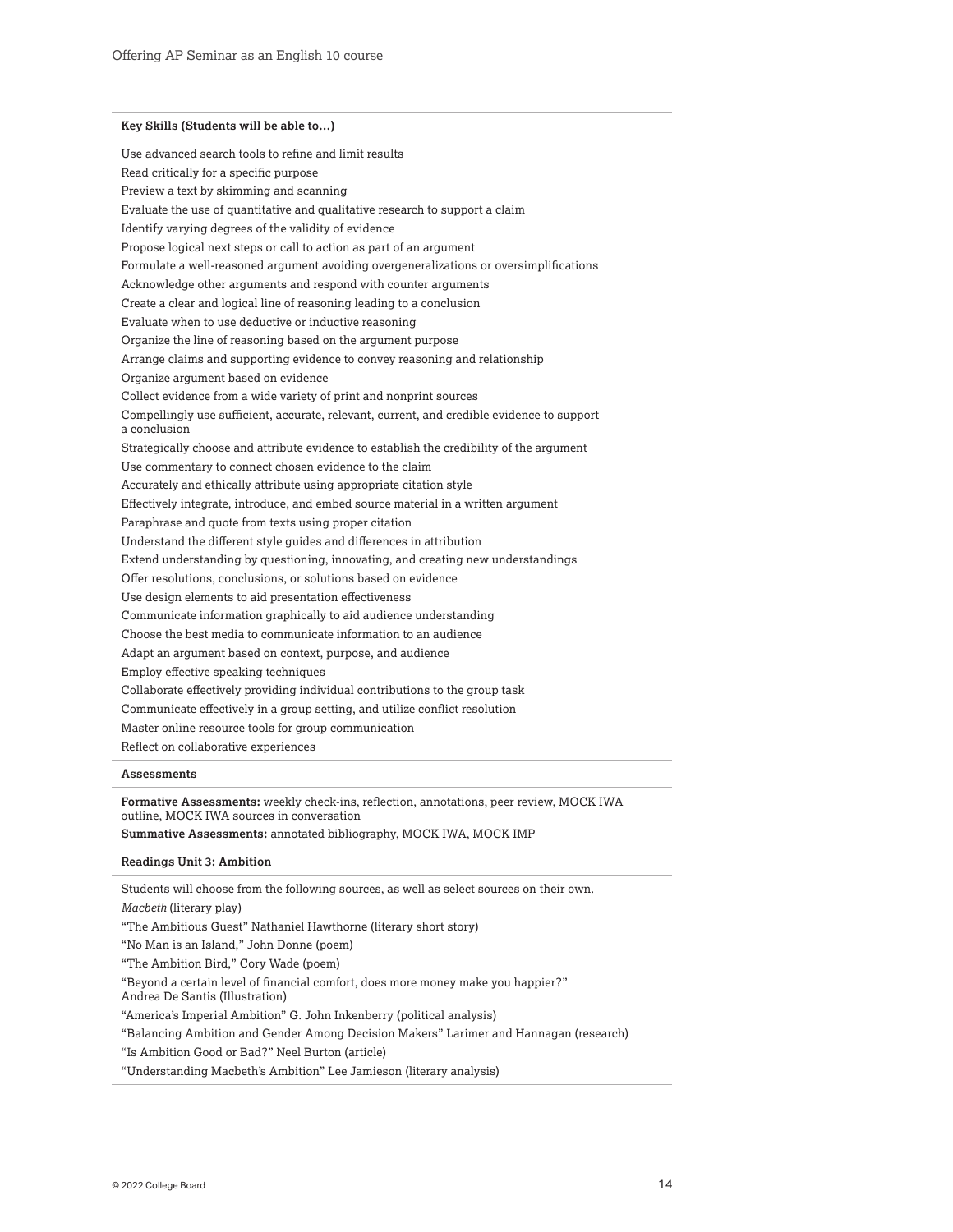**Key Skills (Students will be able to…)** Use advanced search tools to refine and limit results Read critically for a specific purpose Preview a text by skimming and scanning Evaluate the use of quantitative and qualitative research to support a claim Identify varying degrees of the validity of evidence Propose logical next steps or call to action as part of an argument Formulate a well-reasoned argument avoiding overgeneralizations or oversimplifications Acknowledge other arguments and respond with counter arguments Create a clear and logical line of reasoning leading to a conclusion Evaluate when to use deductive or inductive reasoning Organize the line of reasoning based on the argument purpose Arrange claims and supporting evidence to convey reasoning and relationship Organize argument based on evidence Collect evidence from a wide variety of print and nonprint sources Compellingly use sufficient, accurate, relevant, current, and credible evidence to support a conclusion Strategically choose and attribute evidence to establish the credibility of the argument Use commentary to connect chosen evidence to the claim Accurately and ethically attribute using appropriate citation style Effectively integrate, introduce, and embed source material in a written argument Paraphrase and quote from texts using proper citation Understand the different style guides and differences in attribution Extend understanding by questioning, innovating, and creating new understandings Offer resolutions, conclusions, or solutions based on evidence Use design elements to aid presentation effectiveness Communicate information graphically to aid audience understanding Choose the best media to communicate information to an audience Adapt an argument based on context, purpose, and audience Employ effective speaking techniques Collaborate effectively providing individual contributions to the group task Communicate effectively in a group setting, and utilize conflict resolution Master online resource tools for group communication Reflect on collaborative experiences

#### **Assessments**

**Formative Assessments:** weekly check-ins, reflection, annotations, peer review, MOCK IWA outline, MOCK IWA sources in conversation

**Summative Assessments:** annotated bibliography, MOCK IWA, MOCK IMP

#### **Readings Unit 3: Ambition**

Students will choose from the following sources, as well as select sources on their own.

*Macbeth* (literary play)

"The Ambitious Guest" Nathaniel Hawthorne (literary short story)

"No Man is an Island," John Donne (poem)

"The Ambition Bird," Cory Wade (poem)

"Beyond a certain level of financial comfort, does more money make you happier?" Andrea De Santis (Illustration)

"America's Imperial Ambition" G. John Inkenberry (political analysis)

"Balancing Ambition and Gender Among Decision Makers" Larimer and Hannagan (research)

"Is Ambition Good or Bad?" Neel Burton (article)

"Understanding Macbeth's Ambition" Lee Jamieson (literary analysis)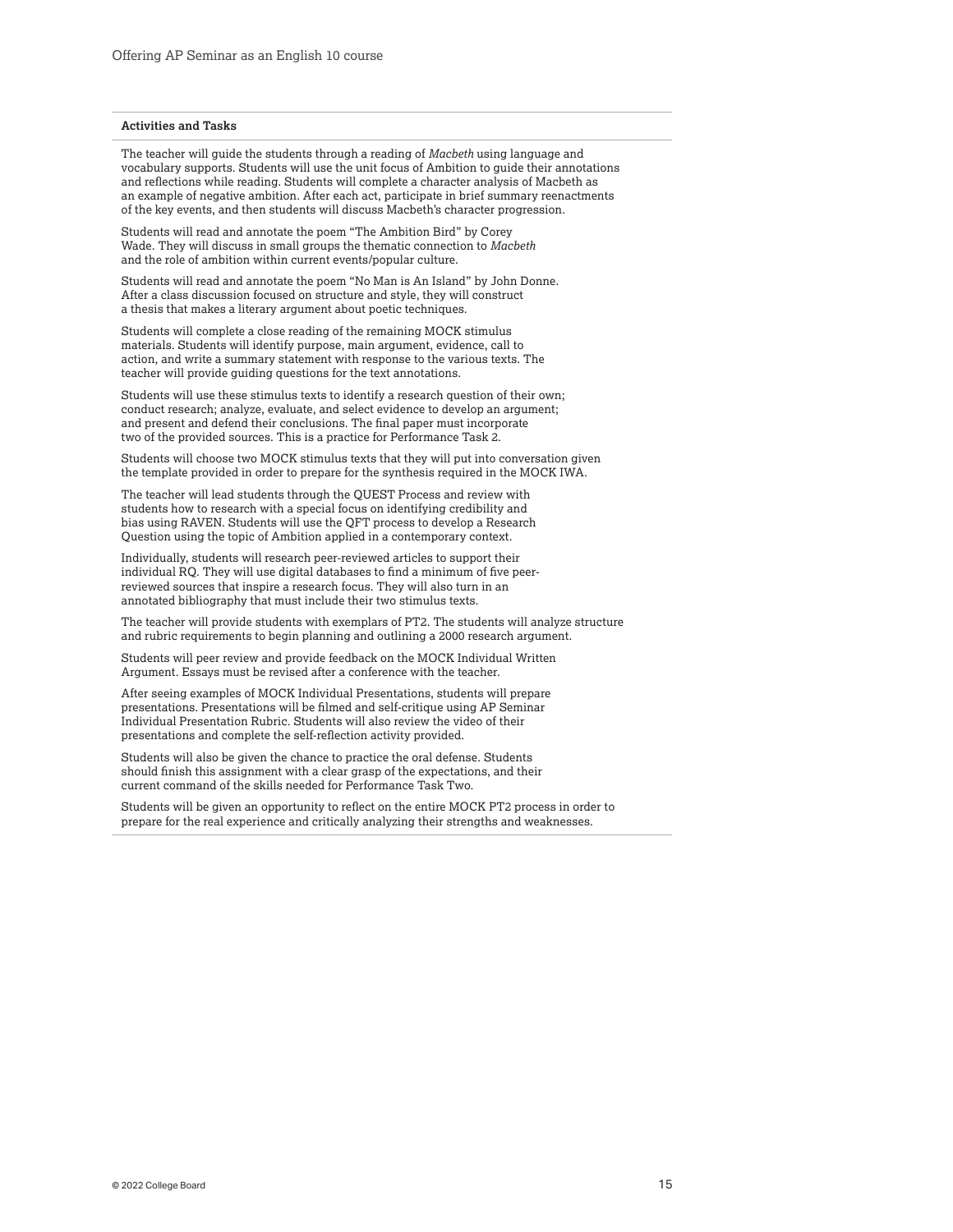#### **Activities and Tasks**

The teacher will guide the students through a reading of *Macbeth* using language and vocabulary supports. Students will use the unit focus of Ambition to guide their annotations and reflections while reading. Students will complete a character analysis of Macbeth as an example of negative ambition. After each act, participate in brief summary reenactments of the key events, and then students will discuss Macbeth's character progression.

Students will read and annotate the poem "The Ambition Bird" by Corey Wade. They will discuss in small groups the thematic connection to *Macbeth*  and the role of ambition within current events/popular culture.

Students will read and annotate the poem "No Man is An Island" by John Donne. After a class discussion focused on structure and style, they will construct a thesis that makes a literary argument about poetic techniques.

Students will complete a close reading of the remaining MOCK stimulus materials. Students will identify purpose, main argument, evidence, call to action, and write a summary statement with response to the various texts. The teacher will provide guiding questions for the text annotations.

Students will use these stimulus texts to identify a research question of their own; conduct research; analyze, evaluate, and select evidence to develop an argument; and present and defend their conclusions. The final paper must incorporate two of the provided sources. This is a practice for Performance Task 2.

Students will choose two MOCK stimulus texts that they will put into conversation given the template provided in order to prepare for the synthesis required in the MOCK IWA.

The teacher will lead students through the QUEST Process and review with students how to research with a special focus on identifying credibility and bias using RAVEN. Students will use the QFT process to develop a Research Question using the topic of Ambition applied in a contemporary context.

Individually, students will research peer-reviewed articles to support their individual RQ. They will use digital databases to find a minimum of five peerreviewed sources that inspire a research focus. They will also turn in an annotated bibliography that must include their two stimulus texts.

The teacher will provide students with exemplars of PT2. The students will analyze structure and rubric requirements to begin planning and outlining a 2000 research argument.

Students will peer review and provide feedback on the MOCK Individual Written Argument. Essays must be revised after a conference with the teacher.

After seeing examples of MOCK Individual Presentations, students will prepare presentations. Presentations will be filmed and self-critique using AP Seminar Individual Presentation Rubric. Students will also review the video of their presentations and complete the self-reflection activity provided.

Students will also be given the chance to practice the oral defense. Students should finish this assignment with a clear grasp of the expectations, and their current command of the skills needed for Performance Task Two.

Students will be given an opportunity to reflect on the entire MOCK PT2 process in order to prepare for the real experience and critically analyzing their strengths and weaknesses.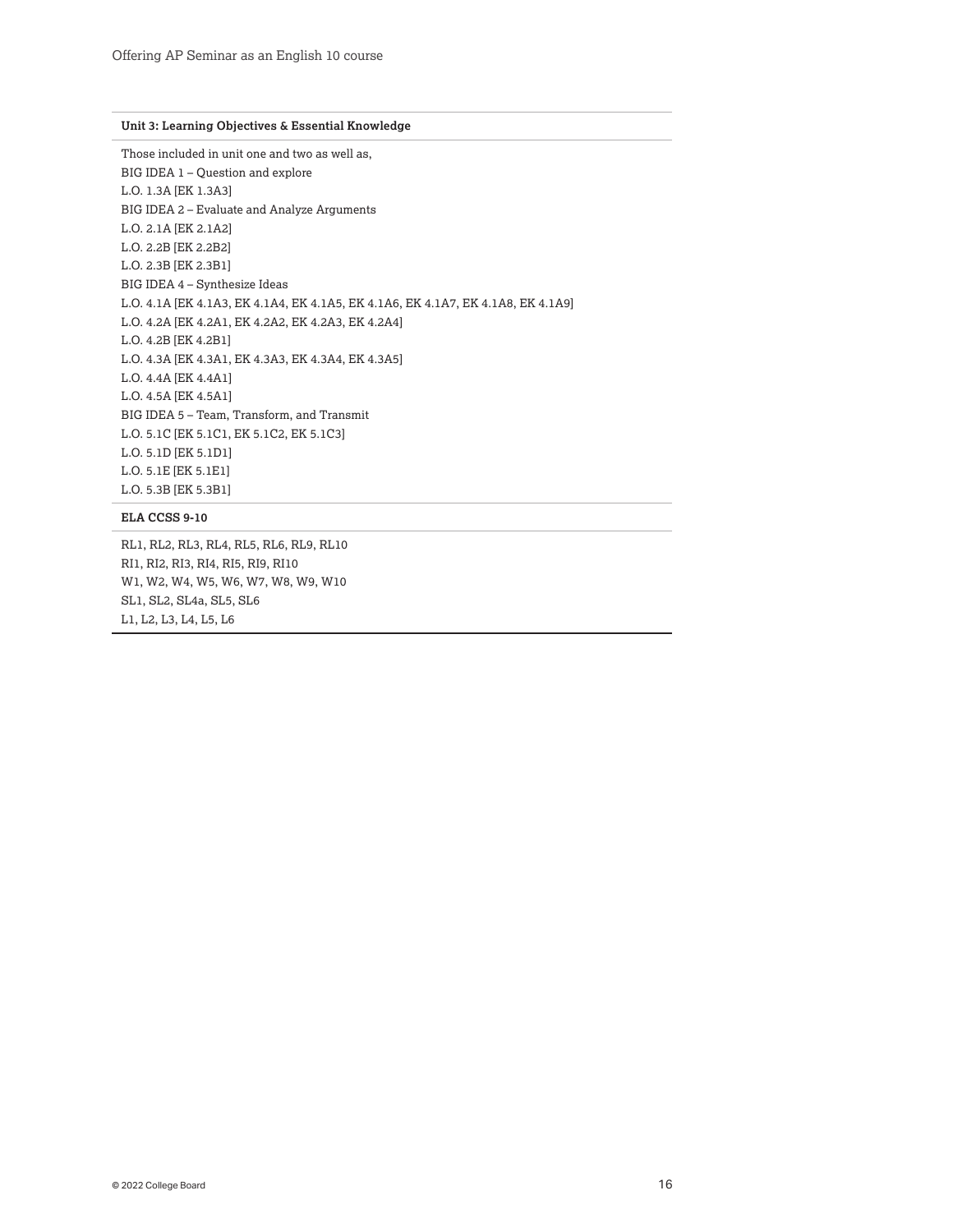#### **Unit 3: Learning Objectives & Essential Knowledge**

Those included in unit one and two as well as, BIG IDEA 1 – Question and explore L.O. 1.3A [EK 1.3A3] BIG IDEA 2 – Evaluate and Analyze Arguments L.O. 2.1A [EK 2.1A2] L.O. 2.2B [EK 2.2B2] L.O. 2.3B [EK 2.3B1] BIG IDEA 4 – Synthesize Ideas L.O. 4.1A [EK 4.1A3, EK 4.1A4, EK 4.1A5, EK 4.1A6, EK 4.1A7, EK 4.1A8, EK 4.1A9] L.O. 4.2A [EK 4.2A1, EK 4.2A2, EK 4.2A3, EK 4.2A4] L.O. 4.2B [EK 4.2B1] L.O. 4.3A [EK 4.3A1, EK 4.3A3, EK 4.3A4, EK 4.3A5] L.O. 4.4A [EK 4.4A1] L.O. 4.5A [EK 4.5A1] BIG IDEA 5 – Team, Transform, and Transmit L.O. 5.1C [EK 5.1C1, EK 5.1C2, EK 5.1C3] L.O. 5.1D [EK 5.1D1] L.O. 5.1E [EK 5.1E1] L.O. 5.3B [EK 5.3B1]

#### **ELA CCSS 9-10**

RL1, RL2, RL3, RL4, RL5, RL6, RL9, RL10 RI1, RI2, RI3, RI4, RI5, RI9, RI10 W1, W2, W4, W5, W6, W7, W8, W9, W10 SL1, SL2, SL4a, SL5, SL6 L1, L2, L3, L4, L5, L6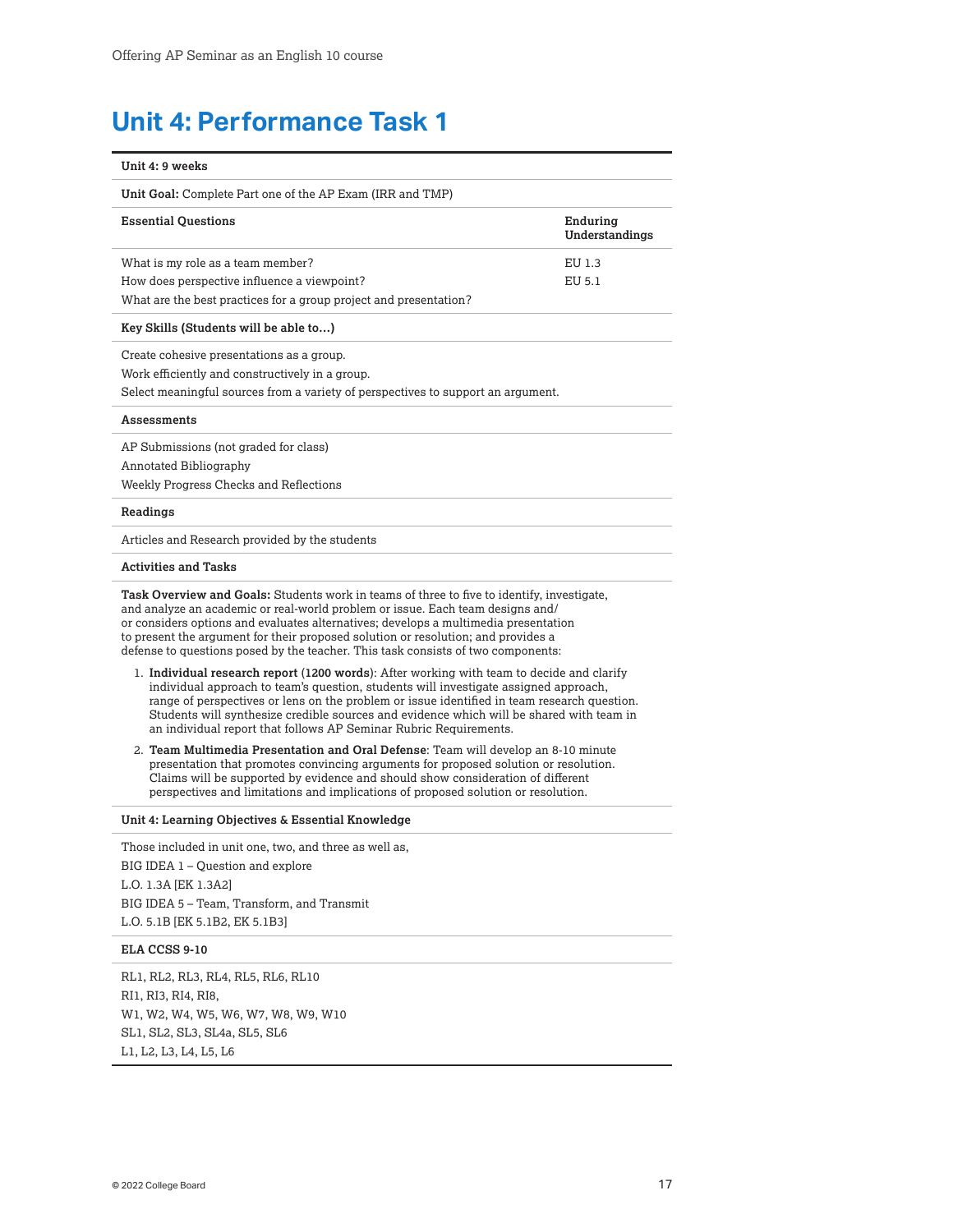# <span id="page-16-0"></span>**Unit 4: Performance Task 1**

| Unit 4: 9 weeks                                                                                                                                                                                                                                                                                                                                                                                                                                     |                            |
|-----------------------------------------------------------------------------------------------------------------------------------------------------------------------------------------------------------------------------------------------------------------------------------------------------------------------------------------------------------------------------------------------------------------------------------------------------|----------------------------|
| Unit Goal: Complete Part one of the AP Exam (IRR and TMP)                                                                                                                                                                                                                                                                                                                                                                                           |                            |
| <b>Essential Questions</b>                                                                                                                                                                                                                                                                                                                                                                                                                          | Enduring<br>Understandings |
| What is my role as a team member?<br>How does perspective influence a viewpoint?<br>What are the best practices for a group project and presentation?                                                                                                                                                                                                                                                                                               | EU 1.3<br>EU 5.1           |
| Key Skills (Students will be able to)                                                                                                                                                                                                                                                                                                                                                                                                               |                            |
| Create cohesive presentations as a group.<br>Work efficiently and constructively in a group.<br>Select meaningful sources from a variety of perspectives to support an argument.                                                                                                                                                                                                                                                                    |                            |
| <b>Assessments</b>                                                                                                                                                                                                                                                                                                                                                                                                                                  |                            |
| AP Submissions (not graded for class)<br>Annotated Bibliography<br>Weekly Progress Checks and Reflections                                                                                                                                                                                                                                                                                                                                           |                            |
| Readings                                                                                                                                                                                                                                                                                                                                                                                                                                            |                            |
| Articles and Research provided by the students                                                                                                                                                                                                                                                                                                                                                                                                      |                            |
| <b>Activities and Tasks</b>                                                                                                                                                                                                                                                                                                                                                                                                                         |                            |
| <b>Task Overview and Goals:</b> Students work in teams of three to five to identify, investigate,<br>and analyze an academic or real-world problem or issue. Each team designs and/<br>or considers options and evaluates alternatives; develops a multimedia presentation<br>to present the argument for their proposed solution or resolution; and provides a<br>defense to questions posed by the teacher. This task consists of two components: |                            |
| 1. Individual research report (1200 words): After working with team to decide and clarify<br>individual approach to team's question, students will investigate assigned approach,<br>range of perspectives or lens on the problem or issue identified in team research question.<br>Students will synthesize credible sources and evidence which will be shared with team in<br>an individual report that follows AP Seminar Rubric Requirements.   |                            |
| 2. Team Multimedia Presentation and Oral Defense: Team will develop an 8-10 minute<br>presentation that promotes convincing arguments for proposed solution or resolution.<br>Claims will be supported by evidence and should show consideration of different<br>perspectives and limitations and implications of proposed solution or resolution.                                                                                                  |                            |
| Unit 4: Learning Objectives & Essential Knowledge                                                                                                                                                                                                                                                                                                                                                                                                   |                            |
| Those included in unit one, two, and three as well as,<br>BIG IDEA 1 – Question and explore<br>L.O. 1.3A [EK 1.3A2]<br>BIG IDEA 5 - Team, Transform, and Transmit<br>L.O. 5.1B [EK 5.1B2, EK 5.1B3]                                                                                                                                                                                                                                                 |                            |
| ELA CCSS 9-10                                                                                                                                                                                                                                                                                                                                                                                                                                       |                            |
| RL1, RL2, RL3, RL4, RL5, RL6, RL10<br>RI1, RI3, RI4, RI8,<br>W1, W2, W4, W5, W6, W7, W8, W9, W10<br>SL1, SL2, SL3, SL4a, SL5, SL6                                                                                                                                                                                                                                                                                                                   |                            |

L1, L2, L3, L4, L5, L6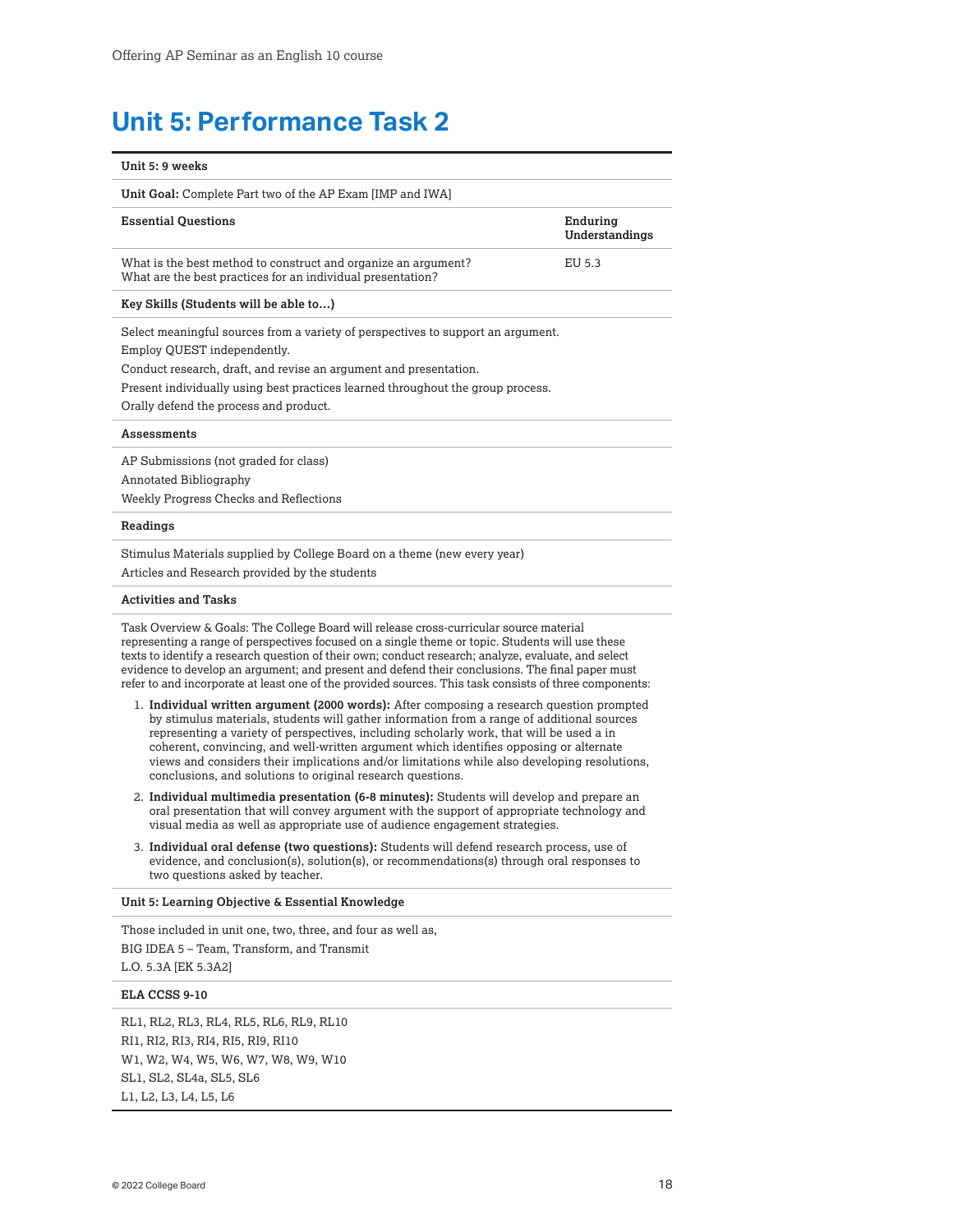## <span id="page-17-0"></span>**Unit 5: Performance Task 2**

| Unit 5: 9 weeks                                                                                                                                                                                                                                                                                                   |                            |
|-------------------------------------------------------------------------------------------------------------------------------------------------------------------------------------------------------------------------------------------------------------------------------------------------------------------|----------------------------|
| Unit Goal: Complete Part two of the AP Exam [IMP and IWA]                                                                                                                                                                                                                                                         |                            |
| <b>Essential Ouestions</b>                                                                                                                                                                                                                                                                                        | Enduring<br>Understandings |
| What is the best method to construct and organize an argument?<br>What are the best practices for an individual presentation?                                                                                                                                                                                     | EU 5.3                     |
| Key Skills (Students will be able to)                                                                                                                                                                                                                                                                             |                            |
| Select meaningful sources from a variety of perspectives to support an argument.<br>Employ QUEST independently.<br>Conduct research, draft, and revise an argument and presentation.<br>Present individually using best practices learned throughout the group process.<br>Orally defend the process and product. |                            |
| <b>Assessments</b>                                                                                                                                                                                                                                                                                                |                            |
| AP Submissions (not graded for class)<br>Annotated Bibliography<br>Weekly Progress Checks and Reflections                                                                                                                                                                                                         |                            |
| Readings                                                                                                                                                                                                                                                                                                          |                            |
| Stimulus Materials supplied by College Board on a theme (new every year)<br>Articles and Research provided by the students                                                                                                                                                                                        |                            |

#### **Activities and Tasks**

Task Overview & Goals: The College Board will release cross-curricular source material representing a range of perspectives focused on a single theme or topic. Students will use these texts to identify a research question of their own; conduct research; analyze, evaluate, and select evidence to develop an argument; and present and defend their conclusions. The final paper must refer to and incorporate at least one of the provided sources. This task consists of three components:

- 1. **Individual written argument (2000 words):** After composing a research question prompted by stimulus materials, students will gather information from a range of additional sources representing a variety of perspectives, including scholarly work, that will be used a in coherent, convincing, and well-written argument which identifies opposing or alternate views and considers their implications and/or limitations while also developing resolutions, conclusions, and solutions to original research questions.
- 2. **Individual multimedia presentation (6-8 minutes):** Students will develop and prepare an oral presentation that will convey argument with the support of appropriate technology and visual media as well as appropriate use of audience engagement strategies.
- 3. **Individual oral defense (two questions):** Students will defend research process, use of evidence, and conclusion(s), solution(s), or recommendations(s) through oral responses to two questions asked by teacher.

**Unit 5: Learning Objective & Essential Knowledge**

Those included in unit one, two, three, and four as well as, BIG IDEA 5 – Team, Transform, and Transmit L.O. 5.3A [EK 5.3A2]

**ELA CCSS 9-10**

RL1, RL2, RL3, RL4, RL5, RL6, RL9, RL10 RI1, RI2, RI3, RI4, RI5, RI9, RI10 W1, W2, W4, W5, W6, W7, W8, W9, W10 SL1, SL2, SL4a, SL5, SL6 L1, L2, L3, L4, L5, L6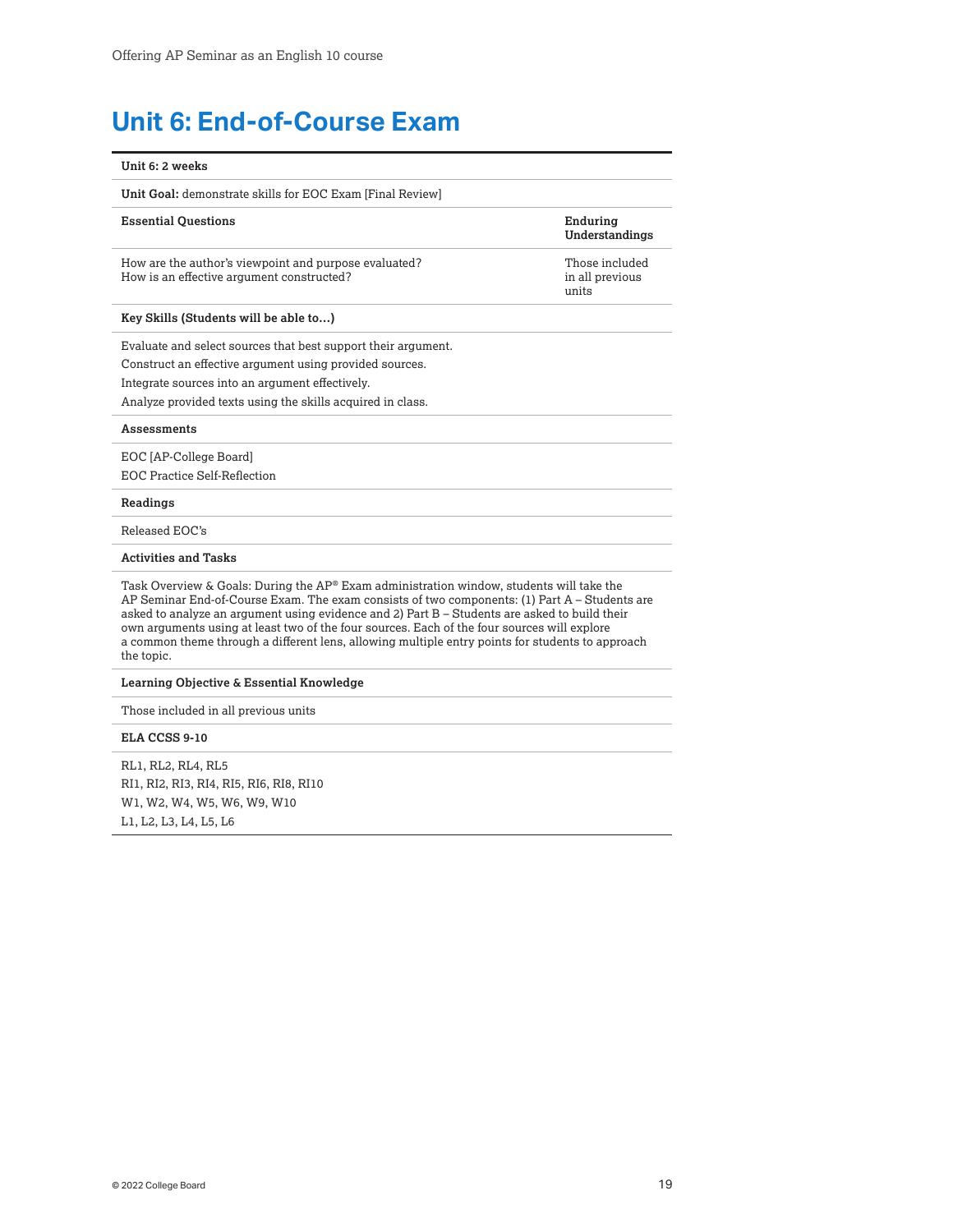# <span id="page-18-0"></span>**Unit 6: End-of-Course Exam**

| Unit 6: 2 weeks                                                                                                                                                                                                                                                                                                                                                                                                                                                                                                      |                                            |
|----------------------------------------------------------------------------------------------------------------------------------------------------------------------------------------------------------------------------------------------------------------------------------------------------------------------------------------------------------------------------------------------------------------------------------------------------------------------------------------------------------------------|--------------------------------------------|
| Unit Goal: demonstrate skills for EOC Exam [Final Review]                                                                                                                                                                                                                                                                                                                                                                                                                                                            |                                            |
| <b>Essential Ouestions</b>                                                                                                                                                                                                                                                                                                                                                                                                                                                                                           | Enduring<br>Understandings                 |
| How are the author's viewpoint and purpose evaluated?<br>How is an effective argument constructed?                                                                                                                                                                                                                                                                                                                                                                                                                   | Those included<br>in all previous<br>units |
| Key Skills (Students will be able to)                                                                                                                                                                                                                                                                                                                                                                                                                                                                                |                                            |
| Evaluate and select sources that best support their argument.<br>Construct an effective argument using provided sources.<br>Integrate sources into an argument effectively.<br>Analyze provided texts using the skills acquired in class.                                                                                                                                                                                                                                                                            |                                            |
| Assessments                                                                                                                                                                                                                                                                                                                                                                                                                                                                                                          |                                            |
| EOC [AP-College Board]<br><b>EOC Practice Self-Reflection</b>                                                                                                                                                                                                                                                                                                                                                                                                                                                        |                                            |
| Readings                                                                                                                                                                                                                                                                                                                                                                                                                                                                                                             |                                            |
| Released EOC's                                                                                                                                                                                                                                                                                                                                                                                                                                                                                                       |                                            |
| <b>Activities and Tasks</b>                                                                                                                                                                                                                                                                                                                                                                                                                                                                                          |                                            |
| Task Overview & Goals: During the $AP^{\circ}$ Exam administration window, students will take the<br>AP Seminar End-of-Course Exam. The exam consists of two components: (1) Part A - Students are<br>asked to analyze an argument using evidence and 2) Part B – Students are asked to build their<br>own arguments using at least two of the four sources. Each of the four sources will explore<br>a common theme through a different lens, allowing multiple entry points for students to approach<br>the topic. |                                            |
| Learning Objective & Essential Knowledge                                                                                                                                                                                                                                                                                                                                                                                                                                                                             |                                            |
| Those included in all previous units                                                                                                                                                                                                                                                                                                                                                                                                                                                                                 |                                            |
| ELA CCSS 9-10                                                                                                                                                                                                                                                                                                                                                                                                                                                                                                        |                                            |
| RL1, RL2, RL4, RL5<br>RI1, RI2, RI3, RI4, RI5, RI6, RI8, RI10<br>W1, W2, W4, W5, W6, W9, W10                                                                                                                                                                                                                                                                                                                                                                                                                         |                                            |

L1, L2, L3, L4, L5, L6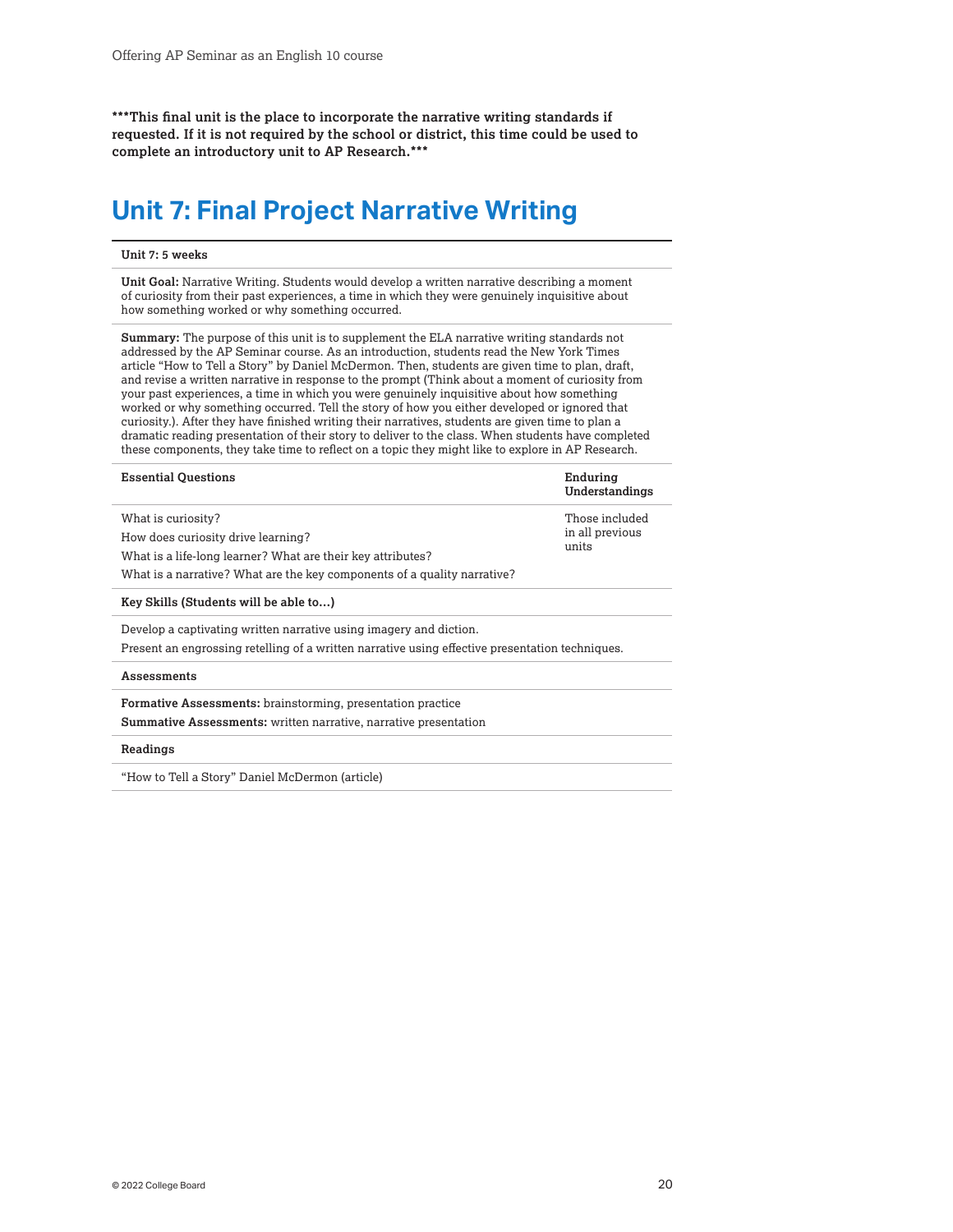<span id="page-19-0"></span>**\*\*\*This final unit is the place to incorporate the narrative writing standards if requested. If it is not required by the school or district, this time could be used to complete an introductory unit to AP Research.\*\*\***

## **Unit 7: Final Project Narrative Writing**

#### **Unit 7: 5 weeks**

**Unit Goal:** Narrative Writing. Students would develop a written narrative describing a moment of curiosity from their past experiences, a time in which they were genuinely inquisitive about how something worked or why something occurred.

**Summary:** The purpose of this unit is to supplement the ELA narrative writing standards not addressed by the AP Seminar course. As an introduction, students read the New York Times article "How to Tell a Story" by Daniel McDermon. Then, students are given time to plan, draft, and revise a written narrative in response to the prompt (Think about a moment of curiosity from your past experiences, a time in which you were genuinely inquisitive about how something worked or why something occurred. Tell the story of how you either developed or ignored that curiosity.). After they have finished writing their narratives, students are given time to plan a dramatic reading presentation of their story to deliver to the class. When students have completed these components, they take time to reflect on a topic they might like to explore in AP Research.

| <b>Essential Questions</b>                                               | Enduring<br>Understandings |
|--------------------------------------------------------------------------|----------------------------|
| What is curiosity?                                                       | Those included             |
| How does curiosity drive learning?                                       | in all previous            |
| What is a life-long learner? What are their key attributes?              | units                      |
| What is a narrative? What are the key components of a quality narrative? |                            |

**Key Skills (Students will be able to…)**

Develop a captivating written narrative using imagery and diction.

Present an engrossing retelling of a written narrative using effective presentation techniques.

#### **Assessments**

**Formative Assessments:** brainstorming, presentation practice

**Summative Assessments:** written narrative, narrative presentation

#### **Readings**

"How to Tell a Story" Daniel McDermon (article)